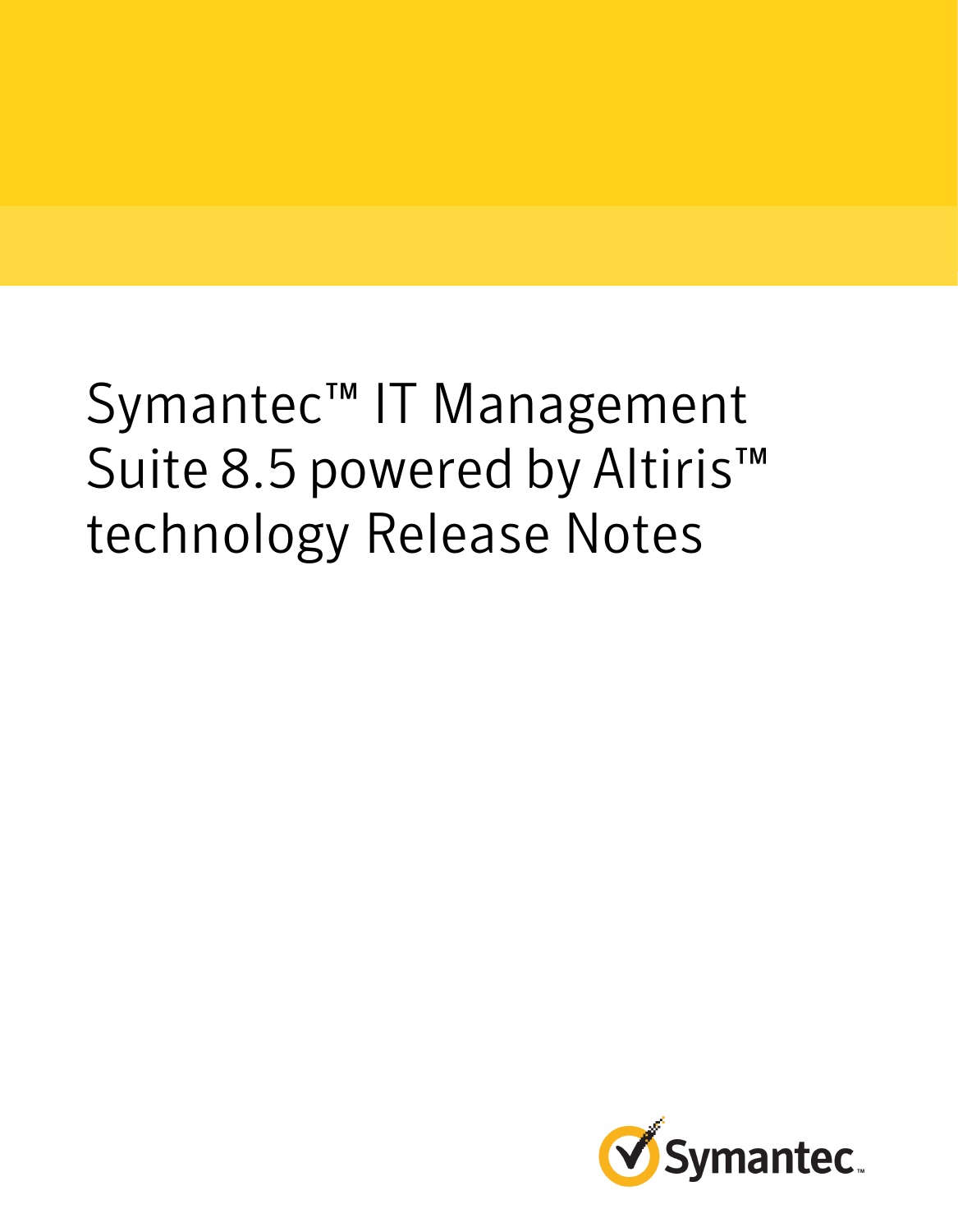# Symantec™ IT Management Suite 8.5 powered by Altiris<sup>™</sup> technology Release Notes

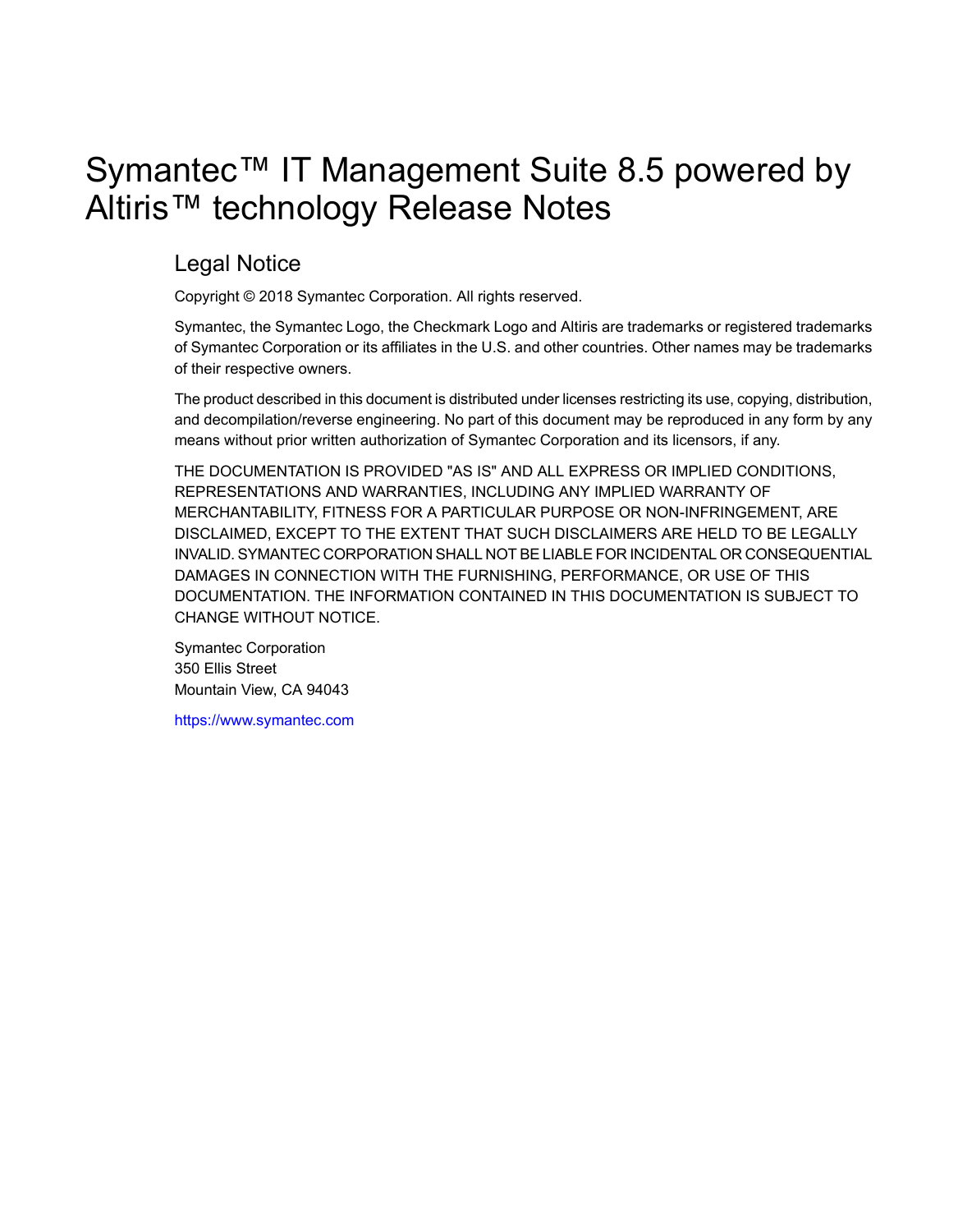# Symantec™ IT Management Suite 8.5 powered by Altiris™ technology Release Notes

### Legal Notice

Copyright © 2018 Symantec Corporation. All rights reserved.

Symantec, the Symantec Logo, the Checkmark Logo and Altiris are trademarks or registered trademarks of Symantec Corporation or its affiliates in the U.S. and other countries. Other names may be trademarks of their respective owners.

The product described in this document is distributed under licenses restricting its use, copying, distribution, and decompilation/reverse engineering. No part of this document may be reproduced in any form by any means without prior written authorization of Symantec Corporation and its licensors, if any.

THE DOCUMENTATION IS PROVIDED "AS IS" AND ALL EXPRESS OR IMPLIED CONDITIONS, REPRESENTATIONS AND WARRANTIES, INCLUDING ANY IMPLIED WARRANTY OF MERCHANTABILITY, FITNESS FOR A PARTICULAR PURPOSE OR NON-INFRINGEMENT, ARE DISCLAIMED, EXCEPT TO THE EXTENT THAT SUCH DISCLAIMERS ARE HELD TO BE LEGALLY INVALID. SYMANTEC CORPORATION SHALL NOT BE LIABLE FOR INCIDENTAL OR CONSEQUENTIAL DAMAGES IN CONNECTION WITH THE FURNISHING, PERFORMANCE, OR USE OF THIS DOCUMENTATION. THE INFORMATION CONTAINED IN THIS DOCUMENTATION IS SUBJECT TO CHANGE WITHOUT NOTICE.

Symantec Corporation 350 Ellis Street Mountain View, CA 94043

<https://www.symantec.com>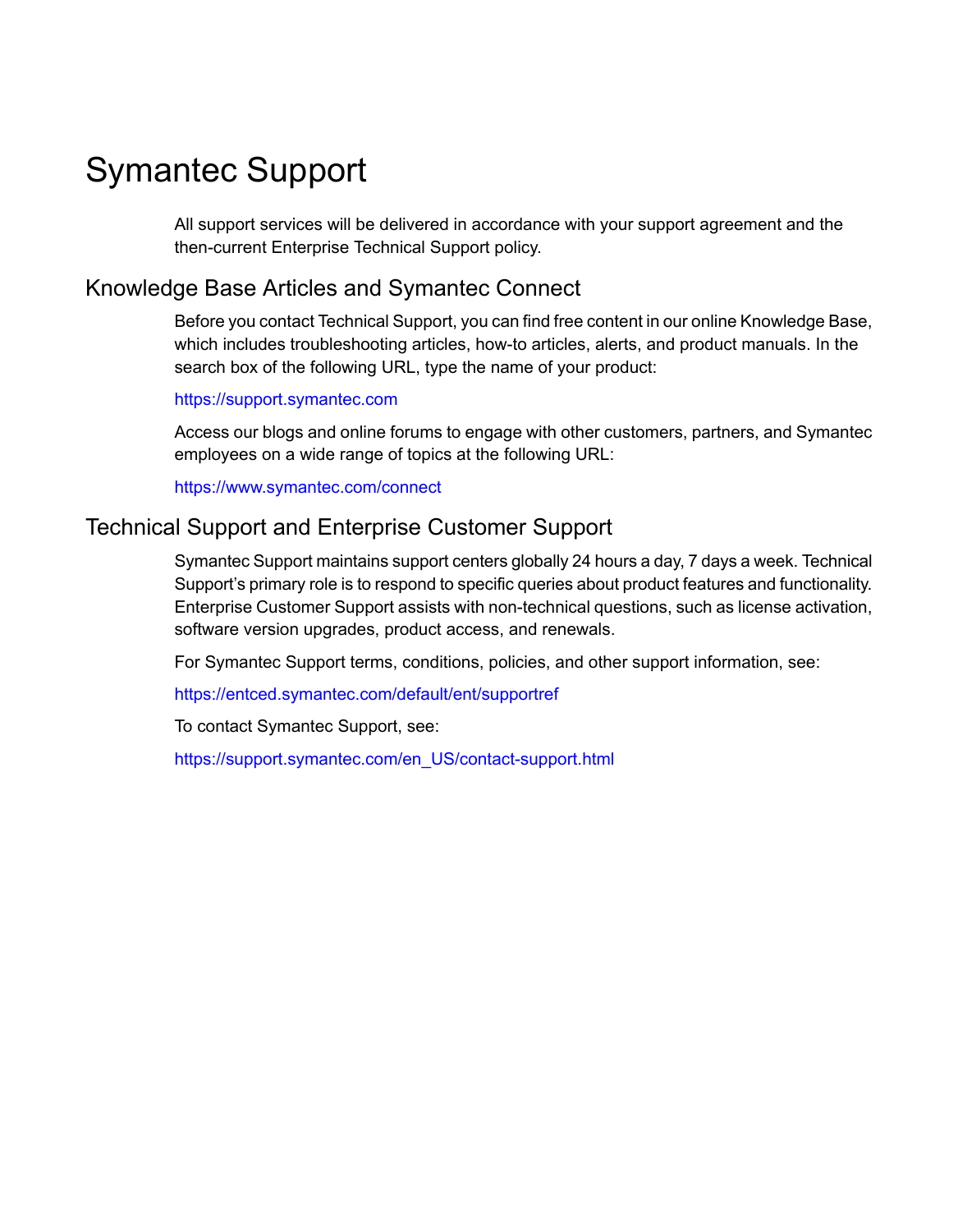# Symantec Support

All support services will be delivered in accordance with your support agreement and the then-current Enterprise Technical Support policy.

### Knowledge Base Articles and Symantec Connect

Before you contact Technical Support, you can find free content in our online Knowledge Base, which includes troubleshooting articles, how-to articles, alerts, and product manuals. In the search box of the following URL, type the name of your product:

#### <https://support.symantec.com>

Access our blogs and online forums to engage with other customers, partners, and Symantec employees on a wide range of topics at the following URL:

[https://www.symantec.com/connect](https://www.symantec.com/connect/)

### Technical Support and Enterprise Customer Support

Symantec Support maintains support centers globally 24 hours a day, 7 days a week. Technical Support's primary role is to respond to specific queries about product features and functionality. Enterprise Customer Support assists with non-technical questions, such as license activation, software version upgrades, product access, and renewals.

For Symantec Support terms, conditions, policies, and other support information, see:

<https://entced.symantec.com/default/ent/supportref>

To contact Symantec Support, see:

[https://support.symantec.com/en\\_US/contact-support.html](https://support.symantec.com/en_US/contact-support.html)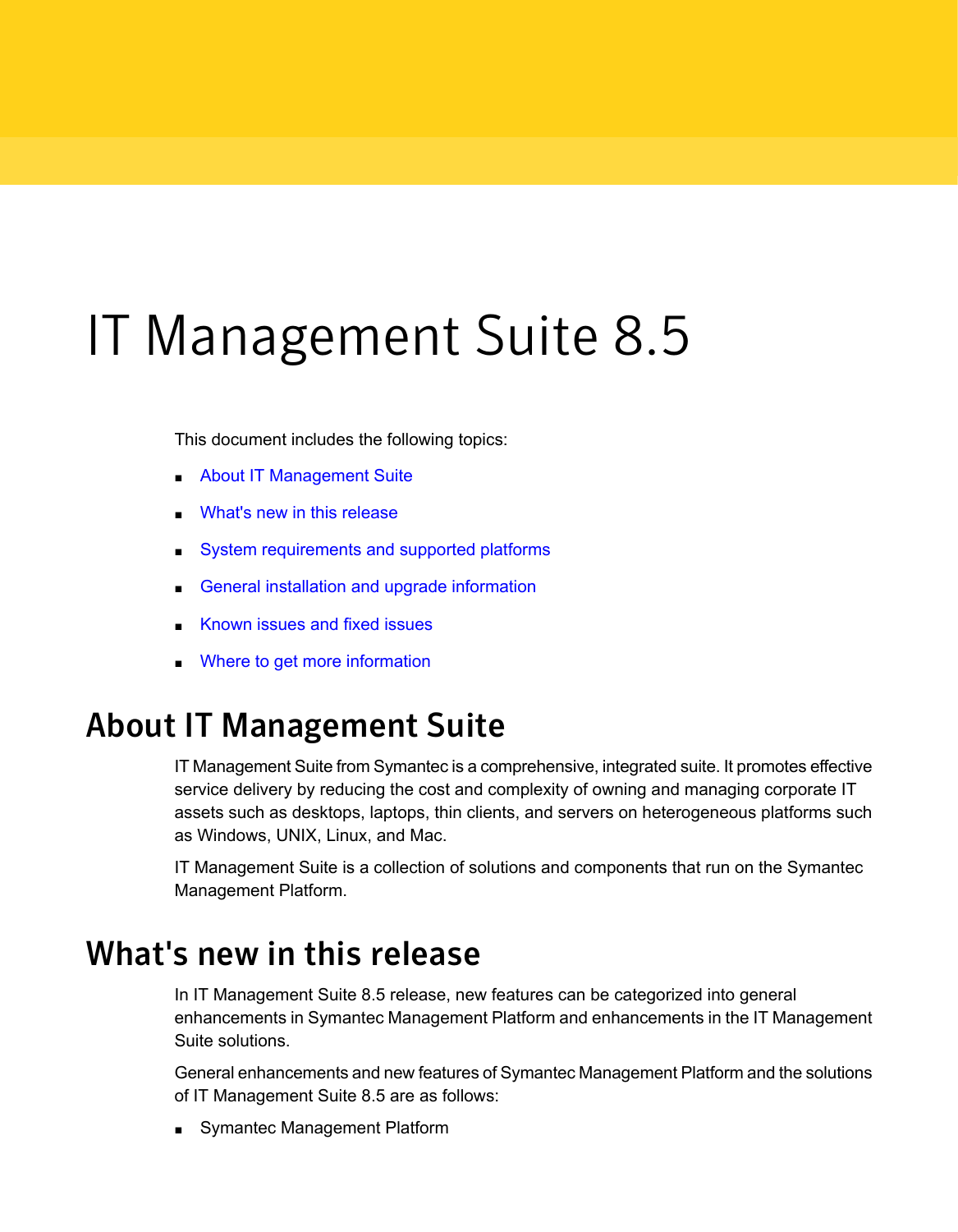# IT Management Suite 8.5

This document includes the following topics:

- About IT [Management](#page-3-0) Suite
- What's new in this [release](#page-3-1)
- System [requirements](#page-24-0) and supported platforms
- General installation and upgrade [information](#page-25-0)
- <span id="page-3-0"></span>[Known](#page-26-0) issues and fixed issues
- Where to get more [information](#page-26-1)

# About IT Management Suite

IT Management Suite from Symantec is a comprehensive, integrated suite. It promotes effective service delivery by reducing the cost and complexity of owning and managing corporate IT assets such as desktops, laptops, thin clients, and servers on heterogeneous platforms such as Windows, UNIX, Linux, and Mac.

<span id="page-3-1"></span>IT Management Suite is a collection of solutions and components that run on the Symantec Management Platform.

## What's new in this release

In IT Management Suite 8.5 release, new features can be categorized into general enhancements in Symantec Management Platform and enhancements in the IT Management Suite solutions.

General enhancements and new features of Symantec Management Platform and the solutions of IT Management Suite 8.5 are as follows:

Symantec Management Platform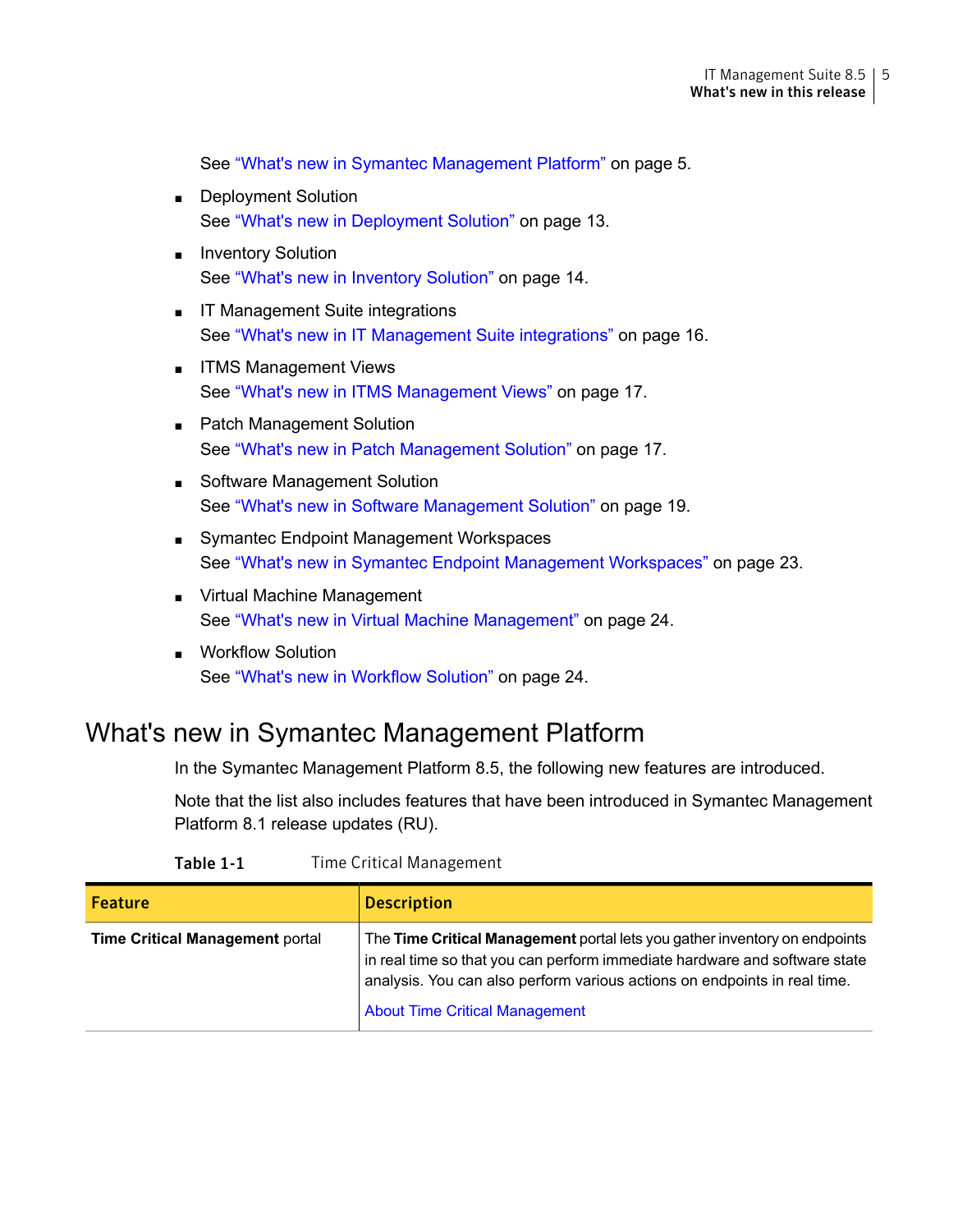See "What's new in Symantec [Management](#page-4-0) Platform" on page 5.

- Deployment Solution See "What's new in [Deployment](#page-12-0) Solution" on page 13.
- Inventory Solution See "What's new in [Inventory](#page-13-0) Solution" on page 14.
- IT Management Suite integrations See "What's new in IT [Management](#page-15-0) Suite integrations" on page 16.
- ITMS Management Views See "What's new in ITMS [Management](#page-16-0) Views" on page 17.
- Patch Management Solution See "What's new in Patch [Management](#page-16-1) Solution" on page 17.
- Software Management Solution See "What's new in Software [Management](#page-18-0) Solution" on page 19.
- Symantec Endpoint Management Workspaces See "What's new in Symantec Endpoint [Management](#page-22-0) Workspaces" on page 23.
- Virtual Machine Management See "What's new in Virtual Machine [Management"](#page-23-0) on page 24.
- <span id="page-4-0"></span>■ Workflow Solution See "What's new in [Workflow](#page-23-1) Solution" on page 24.

### What's new in Symantec Management Platform

In the Symantec Management Platform 8.5, the following new features are introduced.

Note that the list also includes features that have been introduced in Symantec Management Platform 8.1 release updates (RU).

| <b>Feature</b>                         | <b>Description</b>                                                                                                                                                                                                                                                             |
|----------------------------------------|--------------------------------------------------------------------------------------------------------------------------------------------------------------------------------------------------------------------------------------------------------------------------------|
| <b>Time Critical Management portal</b> | The Time Critical Management portal lets you gather inventory on endpoints<br>in real time so that you can perform immediate hardware and software state<br>analysis. You can also perform various actions on endpoints in real time.<br><b>About Time Critical Management</b> |

#### Table 1-1 Time Critical Management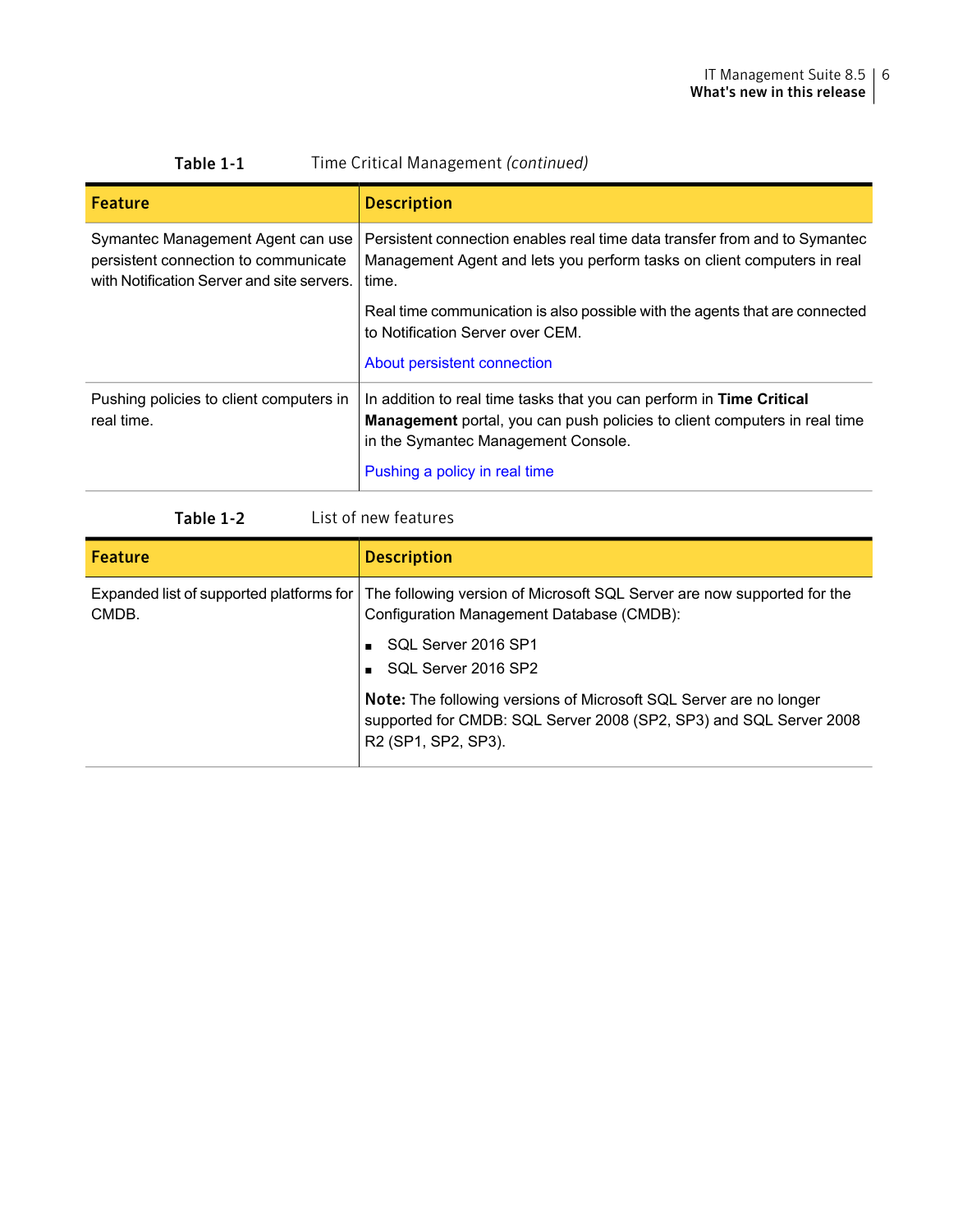| Time Critical Management (continued)<br>Table 1-1                                                                       |                                                                                                                                                                                                 |
|-------------------------------------------------------------------------------------------------------------------------|-------------------------------------------------------------------------------------------------------------------------------------------------------------------------------------------------|
| <b>Feature</b>                                                                                                          | <b>Description</b>                                                                                                                                                                              |
| Symantec Management Agent can use<br>persistent connection to communicate<br>with Notification Server and site servers. | Persistent connection enables real time data transfer from and to Symantec<br>Management Agent and lets you perform tasks on client computers in real<br>time.                                  |
|                                                                                                                         | Real time communication is also possible with the agents that are connected<br>to Notification Server over CEM.                                                                                 |
|                                                                                                                         | About persistent connection                                                                                                                                                                     |
| Pushing policies to client computers in<br>real time.                                                                   | In addition to real time tasks that you can perform in Time Critical<br><b>Management</b> portal, you can push policies to client computers in real time<br>in the Symantec Management Console. |
|                                                                                                                         | Pushing a policy in real time                                                                                                                                                                   |

| List of new features<br>Table 1-2 |
|-----------------------------------|
|-----------------------------------|

| <b>Feature</b>                                      | <b>Description</b>                                                                                                                                                                                                        |
|-----------------------------------------------------|---------------------------------------------------------------------------------------------------------------------------------------------------------------------------------------------------------------------------|
| Expanded list of supported platforms for  <br>CMDB. | The following version of Microsoft SQL Server are now supported for the<br>Configuration Management Database (CMDB):                                                                                                      |
|                                                     | SQL Server 2016 SP1<br>SQL Server 2016 SP2                                                                                                                                                                                |
|                                                     | <b>Note:</b> The following versions of Microsoft SQL Server are no longer<br>supported for CMDB: SQL Server 2008 (SP2, SP3) and SQL Server 2008<br>R <sub>2</sub> (SP <sub>1</sub> , SP <sub>2</sub> , SP <sub>3</sub> ). |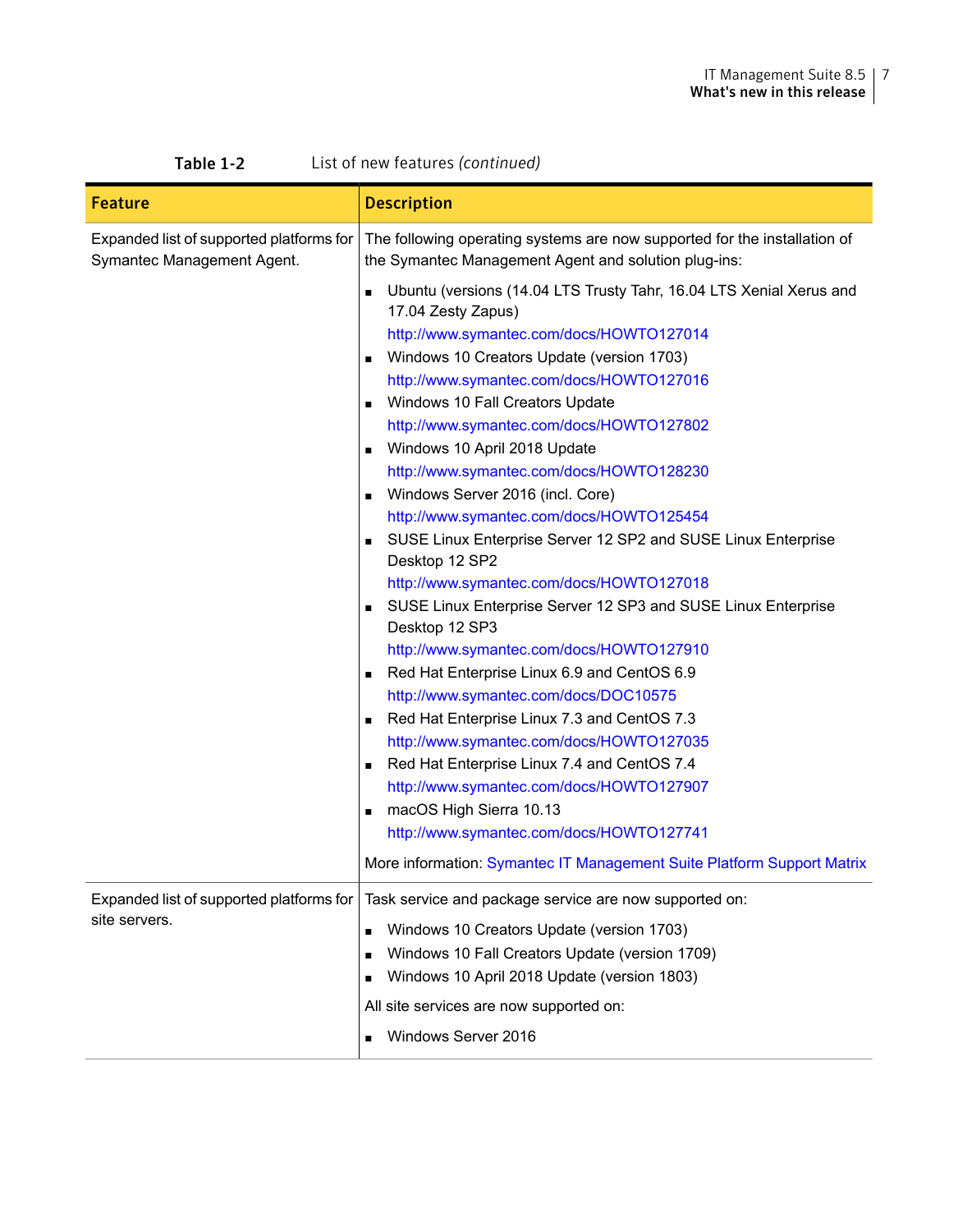| List of new features (continued)<br>Table 1-2                          |                                                                                                                                                                                                                                                                                                                                                                                                                                                                                                                                                                                                                                                                                                                                                                                                                                                                                                                                                                                                                                                                                                                                                                                                                                                                                      |
|------------------------------------------------------------------------|--------------------------------------------------------------------------------------------------------------------------------------------------------------------------------------------------------------------------------------------------------------------------------------------------------------------------------------------------------------------------------------------------------------------------------------------------------------------------------------------------------------------------------------------------------------------------------------------------------------------------------------------------------------------------------------------------------------------------------------------------------------------------------------------------------------------------------------------------------------------------------------------------------------------------------------------------------------------------------------------------------------------------------------------------------------------------------------------------------------------------------------------------------------------------------------------------------------------------------------------------------------------------------------|
| <b>Feature</b>                                                         | <b>Description</b>                                                                                                                                                                                                                                                                                                                                                                                                                                                                                                                                                                                                                                                                                                                                                                                                                                                                                                                                                                                                                                                                                                                                                                                                                                                                   |
| Expanded list of supported platforms for<br>Symantec Management Agent. | The following operating systems are now supported for the installation of<br>the Symantec Management Agent and solution plug-ins:                                                                                                                                                                                                                                                                                                                                                                                                                                                                                                                                                                                                                                                                                                                                                                                                                                                                                                                                                                                                                                                                                                                                                    |
|                                                                        | Ubuntu (versions (14.04 LTS Trusty Tahr, 16.04 LTS Xenial Xerus and<br>$\blacksquare$<br>17.04 Zesty Zapus)<br>http://www.symantec.com/docs/HOWTO127014<br>Windows 10 Creators Update (version 1703)<br>http://www.symantec.com/docs/HOWTO127016<br>Windows 10 Fall Creators Update<br>п<br>http://www.symantec.com/docs/HOWTO127802<br>Windows 10 April 2018 Update<br>п<br>http://www.symantec.com/docs/HOWTO128230<br>Windows Server 2016 (incl. Core)<br>▪<br>http://www.symantec.com/docs/HOWTO125454<br>SUSE Linux Enterprise Server 12 SP2 and SUSE Linux Enterprise<br>$\blacksquare$<br>Desktop 12 SP2<br>http://www.symantec.com/docs/HOWTO127018<br>SUSE Linux Enterprise Server 12 SP3 and SUSE Linux Enterprise<br>Desktop 12 SP3<br>http://www.symantec.com/docs/HOWTO127910<br>Red Hat Enterprise Linux 6.9 and CentOS 6.9<br>$\blacksquare$<br>http://www.symantec.com/docs/DOC10575<br>Red Hat Enterprise Linux 7.3 and CentOS 7.3<br>$\blacksquare$<br>http://www.symantec.com/docs/HOWTO127035<br>Red Hat Enterprise Linux 7.4 and CentOS 7.4<br>$\blacksquare$<br>http://www.symantec.com/docs/HOWTO127907<br>macOS High Sierra 10.13<br>п<br>http://www.symantec.com/docs/HOWTO127741<br>More information: Symantec IT Management Suite Platform Support Matrix |
| Expanded list of supported platforms for<br>site servers.              | Task service and package service are now supported on:                                                                                                                                                                                                                                                                                                                                                                                                                                                                                                                                                                                                                                                                                                                                                                                                                                                                                                                                                                                                                                                                                                                                                                                                                               |
|                                                                        | Windows 10 Creators Update (version 1703)<br>$\blacksquare$                                                                                                                                                                                                                                                                                                                                                                                                                                                                                                                                                                                                                                                                                                                                                                                                                                                                                                                                                                                                                                                                                                                                                                                                                          |
|                                                                        | Windows 10 Fall Creators Update (version 1709)<br>п<br>Windows 10 April 2018 Update (version 1803)                                                                                                                                                                                                                                                                                                                                                                                                                                                                                                                                                                                                                                                                                                                                                                                                                                                                                                                                                                                                                                                                                                                                                                                   |
|                                                                        | All site services are now supported on:                                                                                                                                                                                                                                                                                                                                                                                                                                                                                                                                                                                                                                                                                                                                                                                                                                                                                                                                                                                                                                                                                                                                                                                                                                              |
|                                                                        | Windows Server 2016                                                                                                                                                                                                                                                                                                                                                                                                                                                                                                                                                                                                                                                                                                                                                                                                                                                                                                                                                                                                                                                                                                                                                                                                                                                                  |
|                                                                        |                                                                                                                                                                                                                                                                                                                                                                                                                                                                                                                                                                                                                                                                                                                                                                                                                                                                                                                                                                                                                                                                                                                                                                                                                                                                                      |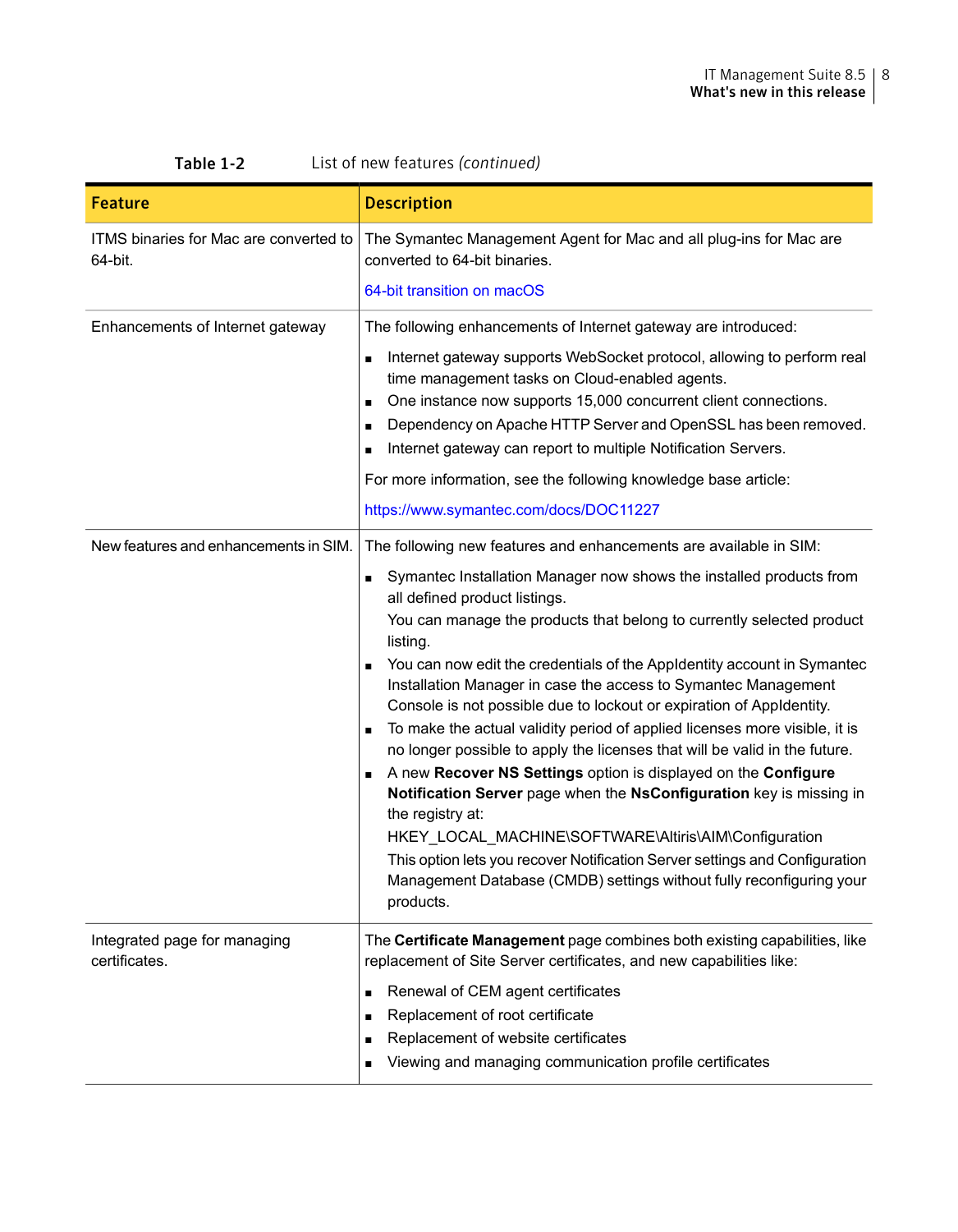| <b>Feature</b>                                    | <b>Description</b>                                                                                                                                                                                                                                                                                                                                                                                                                                                                                                                                                                                                                                                                                                                                                                                                                                                                                                                                                                                                                                                            |
|---------------------------------------------------|-------------------------------------------------------------------------------------------------------------------------------------------------------------------------------------------------------------------------------------------------------------------------------------------------------------------------------------------------------------------------------------------------------------------------------------------------------------------------------------------------------------------------------------------------------------------------------------------------------------------------------------------------------------------------------------------------------------------------------------------------------------------------------------------------------------------------------------------------------------------------------------------------------------------------------------------------------------------------------------------------------------------------------------------------------------------------------|
| ITMS binaries for Mac are converted to<br>64-bit. | The Symantec Management Agent for Mac and all plug-ins for Mac are<br>converted to 64-bit binaries.                                                                                                                                                                                                                                                                                                                                                                                                                                                                                                                                                                                                                                                                                                                                                                                                                                                                                                                                                                           |
|                                                   | 64-bit transition on macOS                                                                                                                                                                                                                                                                                                                                                                                                                                                                                                                                                                                                                                                                                                                                                                                                                                                                                                                                                                                                                                                    |
| Enhancements of Internet gateway                  | The following enhancements of Internet gateway are introduced:                                                                                                                                                                                                                                                                                                                                                                                                                                                                                                                                                                                                                                                                                                                                                                                                                                                                                                                                                                                                                |
|                                                   | Internet gateway supports WebSocket protocol, allowing to perform real<br>$\blacksquare$<br>time management tasks on Cloud-enabled agents.<br>One instance now supports 15,000 concurrent client connections.<br>п<br>Dependency on Apache HTTP Server and OpenSSL has been removed.<br>Internet gateway can report to multiple Notification Servers.                                                                                                                                                                                                                                                                                                                                                                                                                                                                                                                                                                                                                                                                                                                         |
|                                                   | For more information, see the following knowledge base article:                                                                                                                                                                                                                                                                                                                                                                                                                                                                                                                                                                                                                                                                                                                                                                                                                                                                                                                                                                                                               |
|                                                   | https://www.symantec.com/docs/DOC11227                                                                                                                                                                                                                                                                                                                                                                                                                                                                                                                                                                                                                                                                                                                                                                                                                                                                                                                                                                                                                                        |
| New features and enhancements in SIM.             | The following new features and enhancements are available in SIM:<br>Symantec Installation Manager now shows the installed products from<br>all defined product listings.<br>You can manage the products that belong to currently selected product<br>listing.<br>You can now edit the credentials of the AppIdentity account in Symantec<br>$\blacksquare$<br>Installation Manager in case the access to Symantec Management<br>Console is not possible due to lockout or expiration of Appldentity.<br>To make the actual validity period of applied licenses more visible, it is<br>$\blacksquare$<br>no longer possible to apply the licenses that will be valid in the future.<br>A new Recover NS Settings option is displayed on the Configure<br>Notification Server page when the NsConfiguration key is missing in<br>the registry at:<br>HKEY_LOCAL_MACHINE\SOFTWARE\Altiris\AIM\Configuration<br>This option lets you recover Notification Server settings and Configuration<br>Management Database (CMDB) settings without fully reconfiguring your<br>products. |
| Integrated page for managing<br>certificates.     | The <b>Certificate Management</b> page combines both existing capabilities, like<br>replacement of Site Server certificates, and new capabilities like:<br>Renewal of CEM agent certificates<br>Replacement of root certificate<br>п<br>Replacement of website certificates<br>Viewing and managing communication profile certificates                                                                                                                                                                                                                                                                                                                                                                                                                                                                                                                                                                                                                                                                                                                                        |

#### Table 1-2 List of new features *(continued)*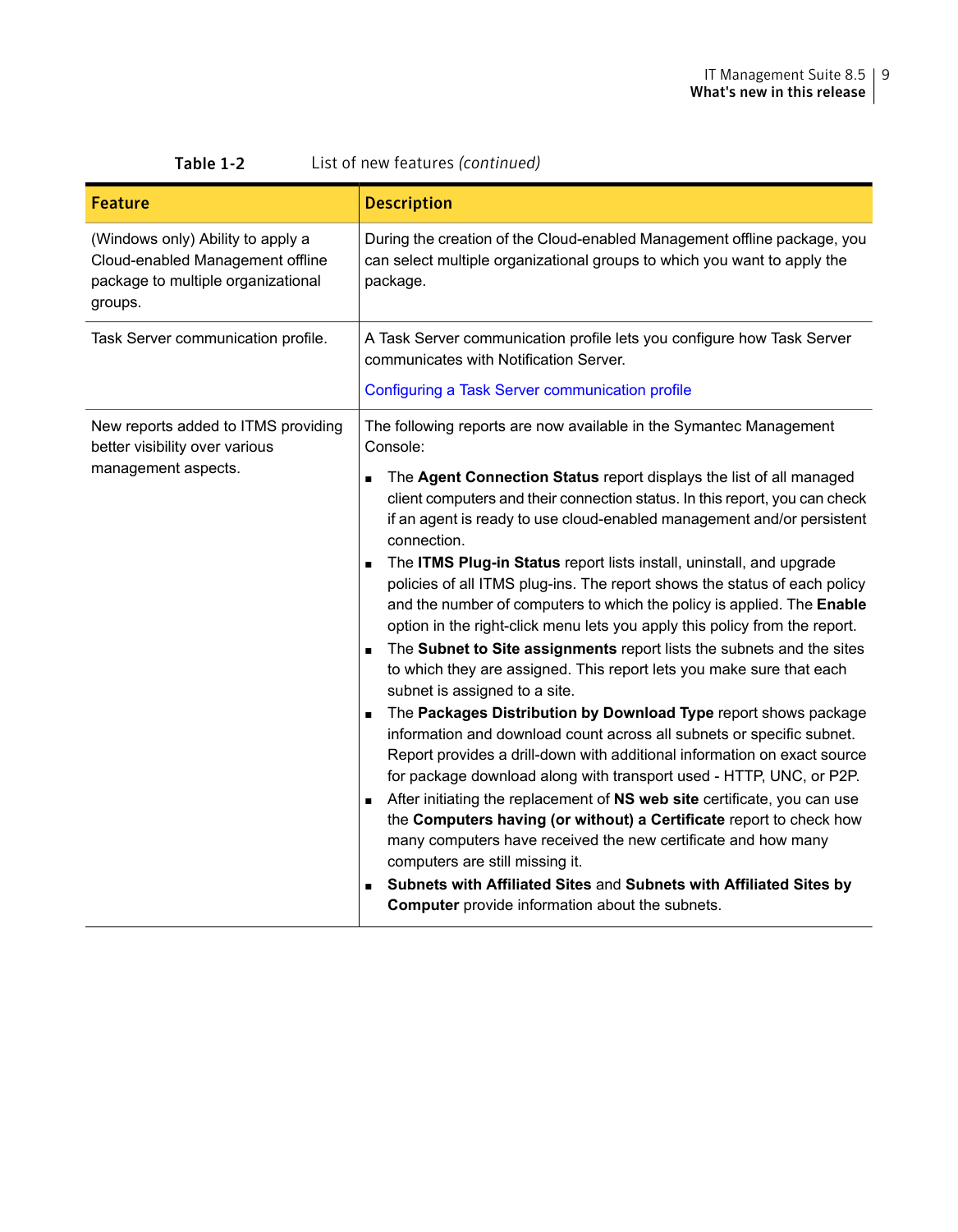| Table 1-2<br>List of new features (continued)                                                                          |                                                                                                                                                                                                                                                                                                                                                                                                                                                                                                                                                                                                                                                                                                                                                                                                                                                                                                                                                                                                                                                                                                                                                                                                                                                                                                                                                                                                                                                                                                                 |
|------------------------------------------------------------------------------------------------------------------------|-----------------------------------------------------------------------------------------------------------------------------------------------------------------------------------------------------------------------------------------------------------------------------------------------------------------------------------------------------------------------------------------------------------------------------------------------------------------------------------------------------------------------------------------------------------------------------------------------------------------------------------------------------------------------------------------------------------------------------------------------------------------------------------------------------------------------------------------------------------------------------------------------------------------------------------------------------------------------------------------------------------------------------------------------------------------------------------------------------------------------------------------------------------------------------------------------------------------------------------------------------------------------------------------------------------------------------------------------------------------------------------------------------------------------------------------------------------------------------------------------------------------|
| <b>Feature</b>                                                                                                         | <b>Description</b>                                                                                                                                                                                                                                                                                                                                                                                                                                                                                                                                                                                                                                                                                                                                                                                                                                                                                                                                                                                                                                                                                                                                                                                                                                                                                                                                                                                                                                                                                              |
| (Windows only) Ability to apply a<br>Cloud-enabled Management offline<br>package to multiple organizational<br>groups. | During the creation of the Cloud-enabled Management offline package, you<br>can select multiple organizational groups to which you want to apply the<br>package.                                                                                                                                                                                                                                                                                                                                                                                                                                                                                                                                                                                                                                                                                                                                                                                                                                                                                                                                                                                                                                                                                                                                                                                                                                                                                                                                                |
| Task Server communication profile.                                                                                     | A Task Server communication profile lets you configure how Task Server<br>communicates with Notification Server.                                                                                                                                                                                                                                                                                                                                                                                                                                                                                                                                                                                                                                                                                                                                                                                                                                                                                                                                                                                                                                                                                                                                                                                                                                                                                                                                                                                                |
|                                                                                                                        | Configuring a Task Server communication profile                                                                                                                                                                                                                                                                                                                                                                                                                                                                                                                                                                                                                                                                                                                                                                                                                                                                                                                                                                                                                                                                                                                                                                                                                                                                                                                                                                                                                                                                 |
| New reports added to ITMS providing<br>better visibility over various                                                  | The following reports are now available in the Symantec Management<br>Console:                                                                                                                                                                                                                                                                                                                                                                                                                                                                                                                                                                                                                                                                                                                                                                                                                                                                                                                                                                                                                                                                                                                                                                                                                                                                                                                                                                                                                                  |
| management aspects.                                                                                                    | The Agent Connection Status report displays the list of all managed<br>$\blacksquare$<br>client computers and their connection status. In this report, you can check<br>if an agent is ready to use cloud-enabled management and/or persistent<br>connection.<br>The <b>ITMS Plug-in Status</b> report lists install, uninstall, and upgrade<br>$\blacksquare$<br>policies of all ITMS plug-ins. The report shows the status of each policy<br>and the number of computers to which the policy is applied. The Enable<br>option in the right-click menu lets you apply this policy from the report.<br>The Subnet to Site assignments report lists the subnets and the sites<br>$\blacksquare$<br>to which they are assigned. This report lets you make sure that each<br>subnet is assigned to a site.<br>The Packages Distribution by Download Type report shows package<br>$\blacksquare$<br>information and download count across all subnets or specific subnet.<br>Report provides a drill-down with additional information on exact source<br>for package download along with transport used - HTTP, UNC, or P2P.<br>After initiating the replacement of NS web site certificate, you can use<br>the Computers having (or without) a Certificate report to check how<br>many computers have received the new certificate and how many<br>computers are still missing it.<br>Subnets with Affiliated Sites and Subnets with Affiliated Sites by<br><b>Computer</b> provide information about the subnets. |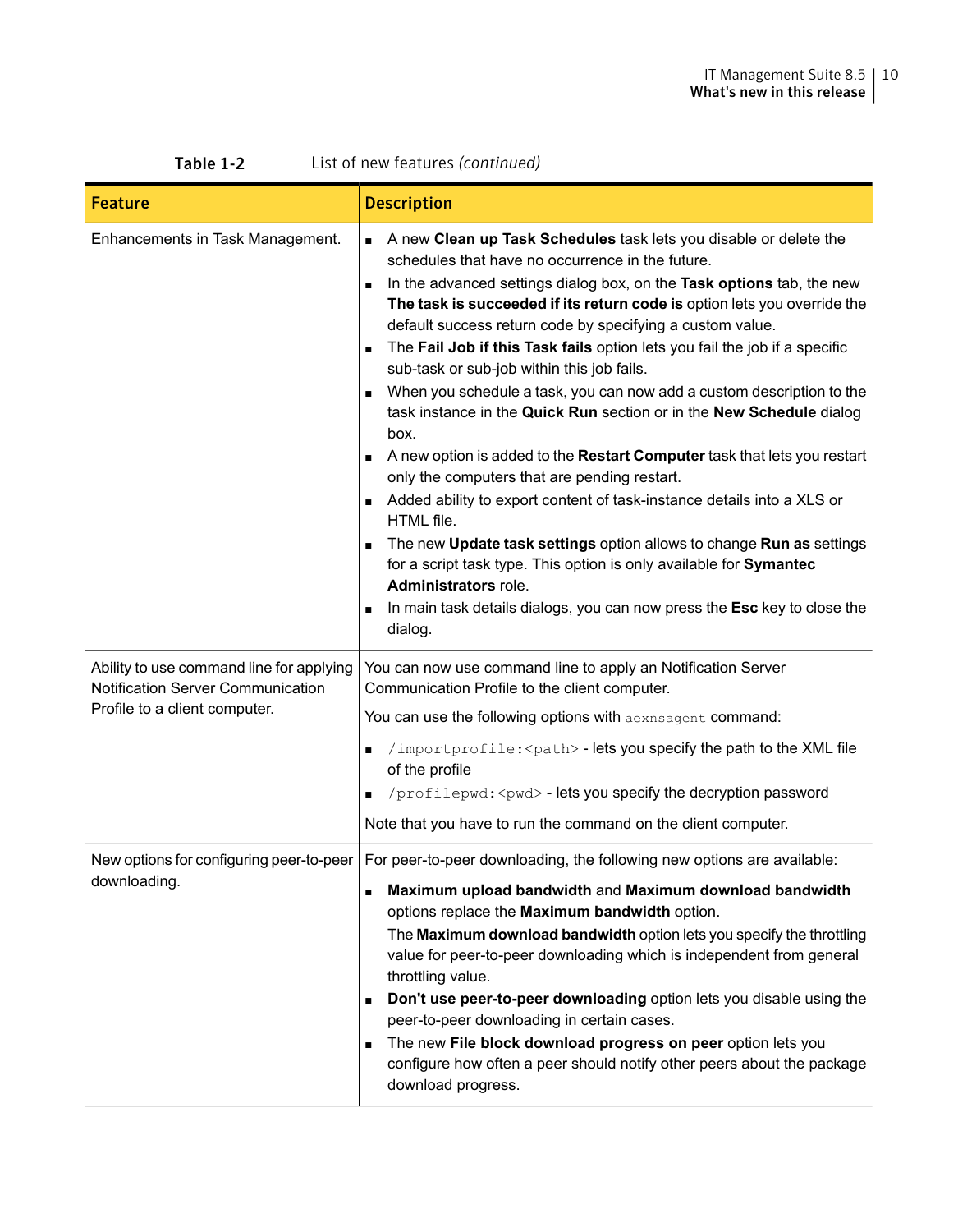| Table 1-2<br>List of new features (continued)                                                                  |                                                                                                                                                                                                                                                                                                                                                                                                                                                                                                                                                                                                                                                                                                                                                                                                                                                                                                                                                                                                                                                                                                                                                                                                                                     |
|----------------------------------------------------------------------------------------------------------------|-------------------------------------------------------------------------------------------------------------------------------------------------------------------------------------------------------------------------------------------------------------------------------------------------------------------------------------------------------------------------------------------------------------------------------------------------------------------------------------------------------------------------------------------------------------------------------------------------------------------------------------------------------------------------------------------------------------------------------------------------------------------------------------------------------------------------------------------------------------------------------------------------------------------------------------------------------------------------------------------------------------------------------------------------------------------------------------------------------------------------------------------------------------------------------------------------------------------------------------|
| <b>Feature</b>                                                                                                 | <b>Description</b>                                                                                                                                                                                                                                                                                                                                                                                                                                                                                                                                                                                                                                                                                                                                                                                                                                                                                                                                                                                                                                                                                                                                                                                                                  |
| Enhancements in Task Management.                                                                               | A new Clean up Task Schedules task lets you disable or delete the<br>schedules that have no occurrence in the future.<br>In the advanced settings dialog box, on the Task options tab, the new<br>$\blacksquare$<br>The task is succeeded if its return code is option lets you override the<br>default success return code by specifying a custom value.<br>The <b>Fail Job if this Task fails</b> option lets you fail the job if a specific<br>$\blacksquare$<br>sub-task or sub-job within this job fails.<br>When you schedule a task, you can now add a custom description to the<br>$\blacksquare$<br>task instance in the Quick Run section or in the New Schedule dialog<br>box.<br>A new option is added to the Restart Computer task that lets you restart<br>only the computers that are pending restart.<br>Added ability to export content of task-instance details into a XLS or<br>HTML file.<br>The new Update task settings option allows to change Run as settings<br>$\blacksquare$<br>for a script task type. This option is only available for <b>Symantec</b><br><b>Administrators role.</b><br>In main task details dialogs, you can now press the <b>Esc</b> key to close the<br>$\blacksquare$<br>dialog. |
| Ability to use command line for applying<br>Notification Server Communication<br>Profile to a client computer. | You can now use command line to apply an Notification Server<br>Communication Profile to the client computer.<br>You can use the following options with aexn sagent command:<br>$\sin\theta$ /importprofile: < path> - lets you specify the path to the XML file<br>п<br>of the profile<br>$\gamma$ /profilepwd: <pwd> - lets you specify the decryption password<br/>Note that you have to run the command on the client computer.</pwd>                                                                                                                                                                                                                                                                                                                                                                                                                                                                                                                                                                                                                                                                                                                                                                                           |
| New options for configuring peer-to-peer<br>downloading.                                                       | For peer-to-peer downloading, the following new options are available:<br>Maximum upload bandwidth and Maximum download bandwidth<br>$\blacksquare$<br>options replace the Maximum bandwidth option.<br>The Maximum download bandwidth option lets you specify the throttling<br>value for peer-to-peer downloading which is independent from general<br>throttling value.<br>Don't use peer-to-peer downloading option lets you disable using the<br>$\blacksquare$<br>peer-to-peer downloading in certain cases.<br>The new File block download progress on peer option lets you<br>configure how often a peer should notify other peers about the package<br>download progress.                                                                                                                                                                                                                                                                                                                                                                                                                                                                                                                                                  |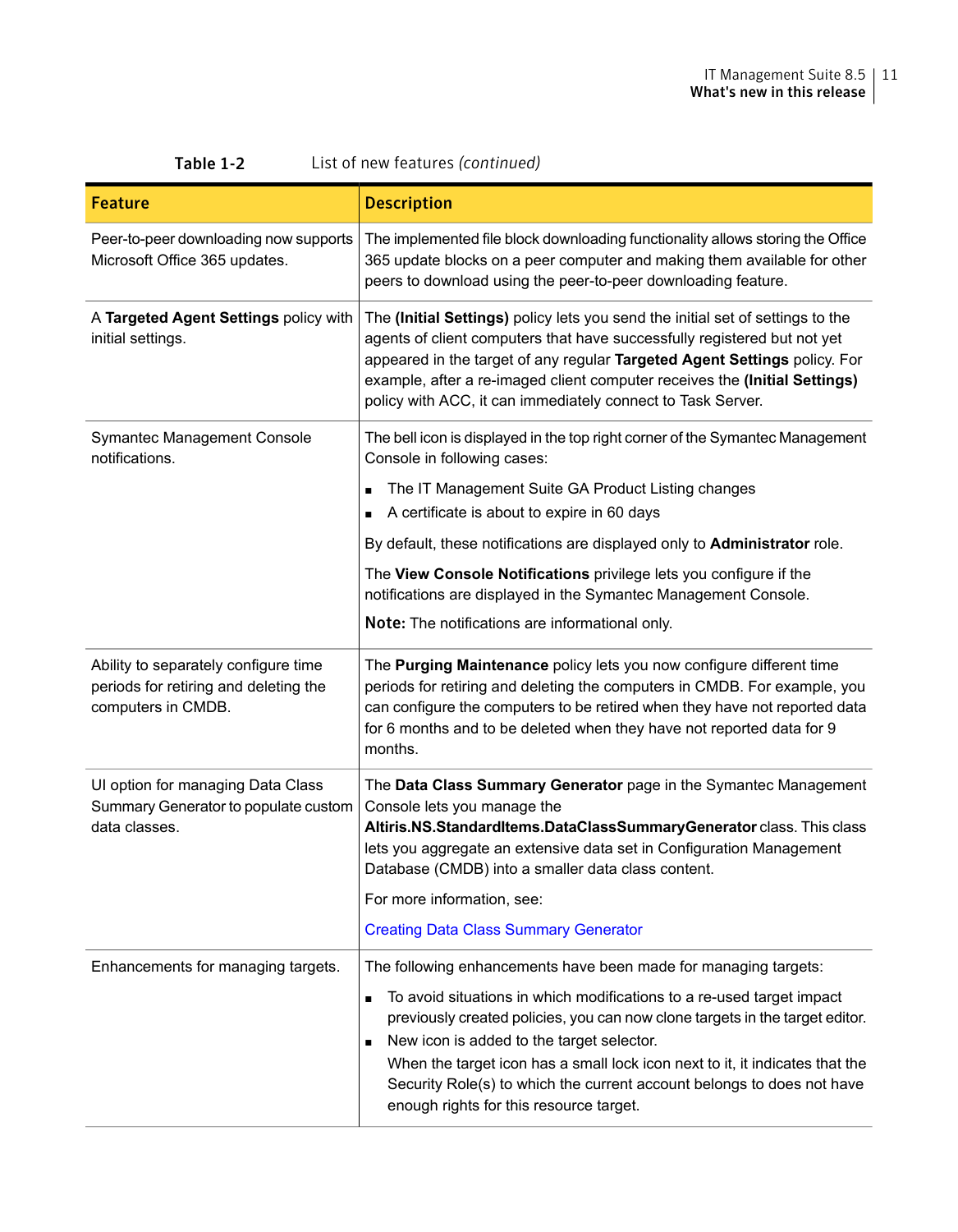| List of new features (continued)<br>Table 1-2                                                       |                                                                                                                                                                                                                                                                                                                                                                                                                                             |  |
|-----------------------------------------------------------------------------------------------------|---------------------------------------------------------------------------------------------------------------------------------------------------------------------------------------------------------------------------------------------------------------------------------------------------------------------------------------------------------------------------------------------------------------------------------------------|--|
| Feature                                                                                             | Description                                                                                                                                                                                                                                                                                                                                                                                                                                 |  |
| Peer-to-peer downloading now supports<br>Microsoft Office 365 updates.                              | The implemented file block downloading functionality allows storing the Office<br>365 update blocks on a peer computer and making them available for other<br>peers to download using the peer-to-peer downloading feature.                                                                                                                                                                                                                 |  |
| A Targeted Agent Settings policy with<br>initial settings.                                          | The (Initial Settings) policy lets you send the initial set of settings to the<br>agents of client computers that have successfully registered but not yet<br>appeared in the target of any regular Targeted Agent Settings policy. For<br>example, after a re-imaged client computer receives the (Initial Settings)<br>policy with ACC, it can immediately connect to Task Server.                                                        |  |
| Symantec Management Console<br>notifications.                                                       | The bell icon is displayed in the top right corner of the Symantec Management<br>Console in following cases:                                                                                                                                                                                                                                                                                                                                |  |
|                                                                                                     | The IT Management Suite GA Product Listing changes<br>$\blacksquare$<br>A certificate is about to expire in 60 days                                                                                                                                                                                                                                                                                                                         |  |
|                                                                                                     | By default, these notifications are displayed only to <b>Administrator</b> role.                                                                                                                                                                                                                                                                                                                                                            |  |
|                                                                                                     | The View Console Notifications privilege lets you configure if the<br>notifications are displayed in the Symantec Management Console.                                                                                                                                                                                                                                                                                                       |  |
|                                                                                                     | Note: The notifications are informational only.                                                                                                                                                                                                                                                                                                                                                                                             |  |
| Ability to separately configure time<br>periods for retiring and deleting the<br>computers in CMDB. | The <b>Purging Maintenance</b> policy lets you now configure different time<br>periods for retiring and deleting the computers in CMDB. For example, you<br>can configure the computers to be retired when they have not reported data<br>for 6 months and to be deleted when they have not reported data for 9<br>months.                                                                                                                  |  |
| UI option for managing Data Class<br>Summary Generator to populate custom<br>data classes.          | The Data Class Summary Generator page in the Symantec Management<br>Console lets you manage the<br>Altiris.NS.StandardItems.DataClassSummaryGenerator class. This class<br>lets you aggregate an extensive data set in Configuration Management<br>Database (CMDB) into a smaller data class content.                                                                                                                                       |  |
|                                                                                                     | For more information, see:                                                                                                                                                                                                                                                                                                                                                                                                                  |  |
|                                                                                                     | <b>Creating Data Class Summary Generator</b>                                                                                                                                                                                                                                                                                                                                                                                                |  |
| Enhancements for managing targets.                                                                  | The following enhancements have been made for managing targets:                                                                                                                                                                                                                                                                                                                                                                             |  |
|                                                                                                     | To avoid situations in which modifications to a re-used target impact<br>$\blacksquare$<br>previously created policies, you can now clone targets in the target editor.<br>New icon is added to the target selector.<br>$\blacksquare$<br>When the target icon has a small lock icon next to it, it indicates that the<br>Security Role(s) to which the current account belongs to does not have<br>enough rights for this resource target. |  |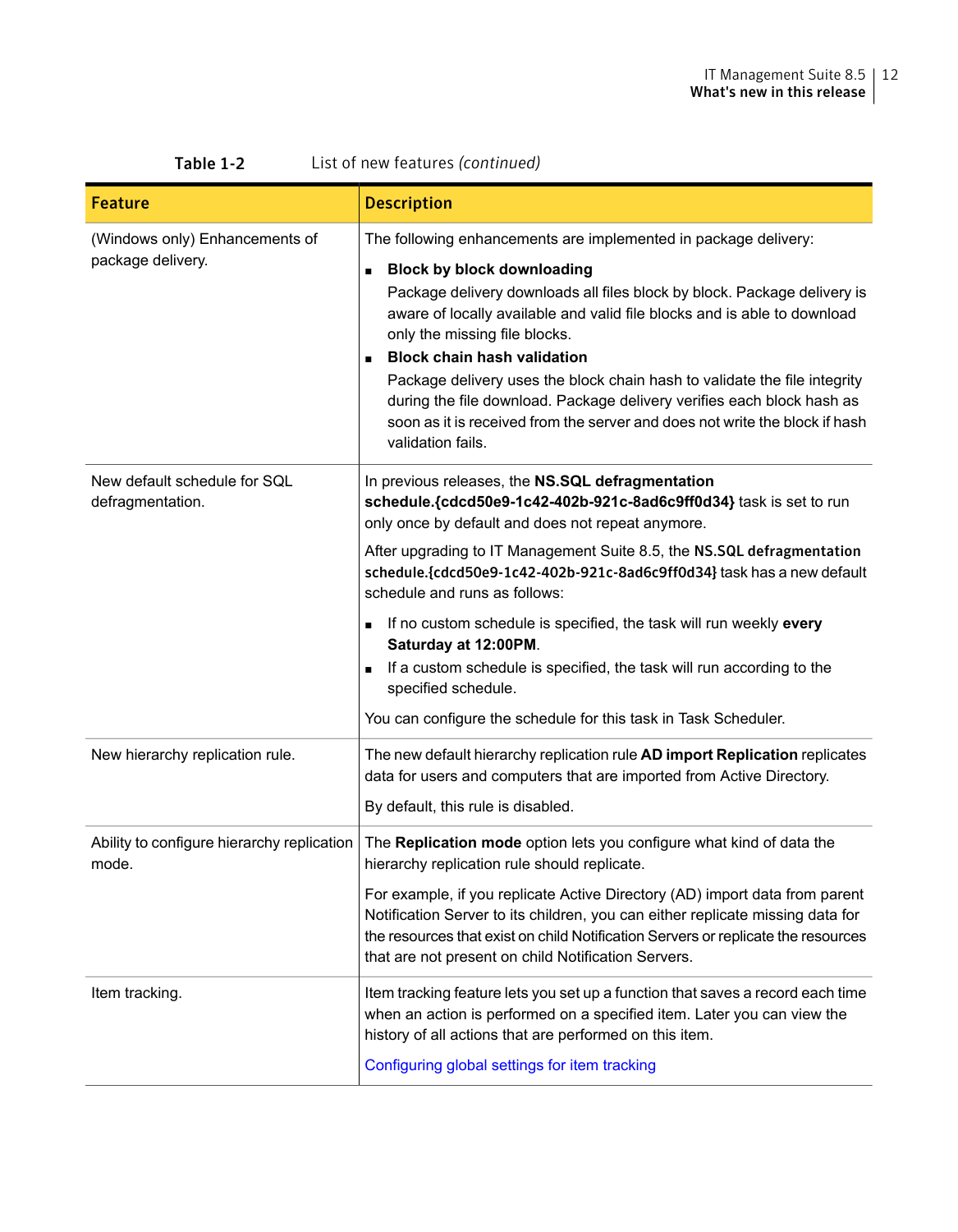| List of new features (continued)<br>Table 1-2       |                                                                                                                                                                                                                                                                                                                                                                                                                                                                                                                                               |  |
|-----------------------------------------------------|-----------------------------------------------------------------------------------------------------------------------------------------------------------------------------------------------------------------------------------------------------------------------------------------------------------------------------------------------------------------------------------------------------------------------------------------------------------------------------------------------------------------------------------------------|--|
| Feature                                             | <b>Description</b>                                                                                                                                                                                                                                                                                                                                                                                                                                                                                                                            |  |
| (Windows only) Enhancements of                      | The following enhancements are implemented in package delivery:                                                                                                                                                                                                                                                                                                                                                                                                                                                                               |  |
| package delivery.                                   | <b>Block by block downloading</b><br>Package delivery downloads all files block by block. Package delivery is<br>aware of locally available and valid file blocks and is able to download<br>only the missing file blocks.<br><b>Block chain hash validation</b><br>$\blacksquare$<br>Package delivery uses the block chain hash to validate the file integrity<br>during the file download. Package delivery verifies each block hash as<br>soon as it is received from the server and does not write the block if hash<br>validation fails. |  |
| New default schedule for SQL<br>defragmentation.    | In previous releases, the NS.SQL defragmentation<br>schedule.{cdcd50e9-1c42-402b-921c-8ad6c9ff0d34} task is set to run<br>only once by default and does not repeat anymore.                                                                                                                                                                                                                                                                                                                                                                   |  |
|                                                     | After upgrading to IT Management Suite 8.5, the NS.SQL defragmentation<br>schedule.{cdcd50e9-1c42-402b-921c-8ad6c9ff0d34} task has a new default<br>schedule and runs as follows:                                                                                                                                                                                                                                                                                                                                                             |  |
|                                                     | If no custom schedule is specified, the task will run weekly every<br>$\blacksquare$<br>Saturday at 12:00PM.<br>If a custom schedule is specified, the task will run according to the<br>$\blacksquare$<br>specified schedule.                                                                                                                                                                                                                                                                                                                |  |
|                                                     | You can configure the schedule for this task in Task Scheduler.                                                                                                                                                                                                                                                                                                                                                                                                                                                                               |  |
| New hierarchy replication rule.                     | The new default hierarchy replication rule AD import Replication replicates<br>data for users and computers that are imported from Active Directory.<br>By default, this rule is disabled.                                                                                                                                                                                                                                                                                                                                                    |  |
| Ability to configure hierarchy replication<br>mode. | The Replication mode option lets you configure what kind of data the<br>hierarchy replication rule should replicate.                                                                                                                                                                                                                                                                                                                                                                                                                          |  |
|                                                     | For example, if you replicate Active Directory (AD) import data from parent<br>Notification Server to its children, you can either replicate missing data for<br>the resources that exist on child Notification Servers or replicate the resources<br>that are not present on child Notification Servers.                                                                                                                                                                                                                                     |  |
| Item tracking.                                      | Item tracking feature lets you set up a function that saves a record each time<br>when an action is performed on a specified item. Later you can view the<br>history of all actions that are performed on this item.<br>Configuring global settings for item tracking                                                                                                                                                                                                                                                                         |  |
|                                                     |                                                                                                                                                                                                                                                                                                                                                                                                                                                                                                                                               |  |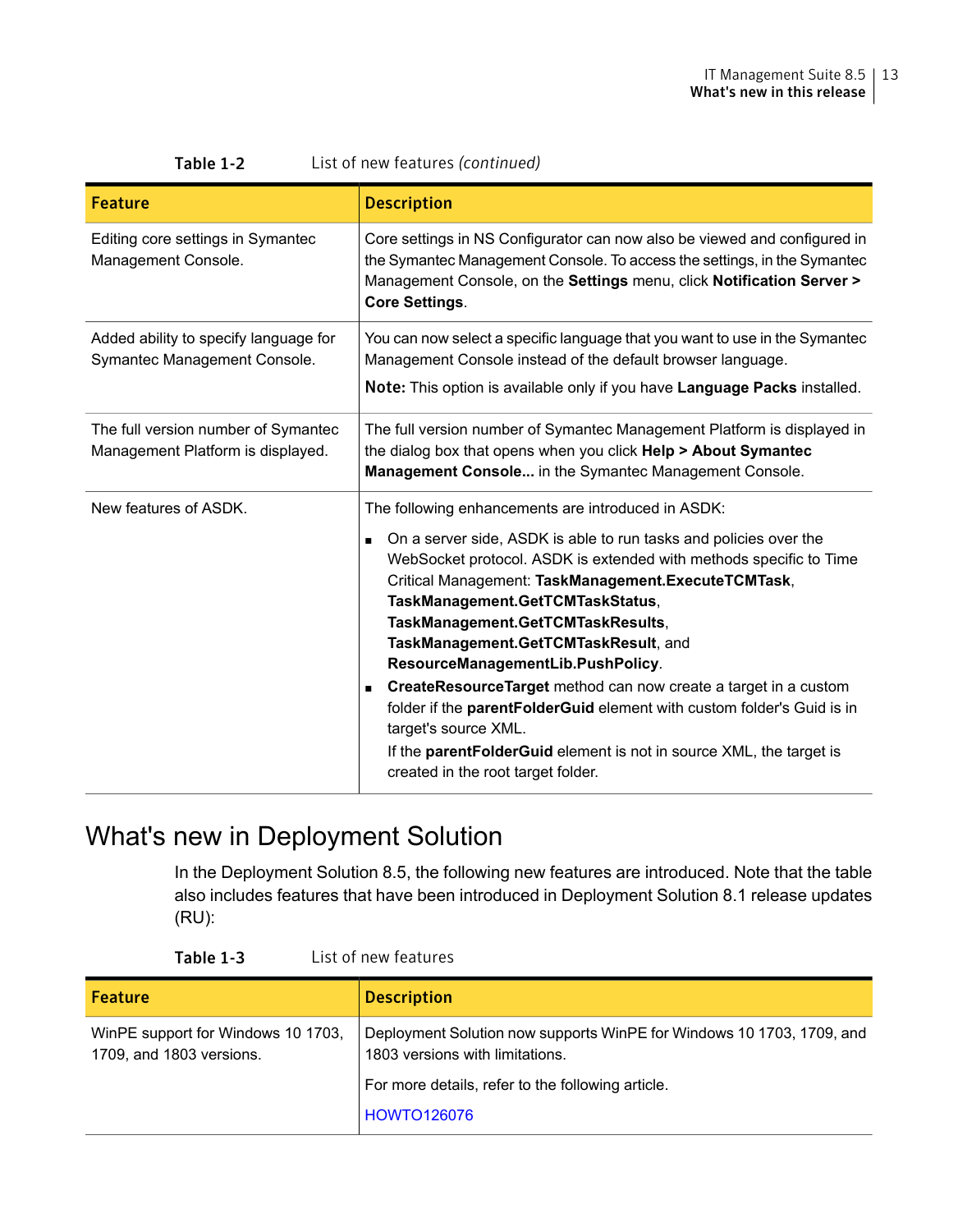| <b>Feature</b>                                                           | <b>Description</b>                                                                                                                                                                                                                                                                                                                                                                                                                                                                                                                                                                                                                                                                                                                      |  |
|--------------------------------------------------------------------------|-----------------------------------------------------------------------------------------------------------------------------------------------------------------------------------------------------------------------------------------------------------------------------------------------------------------------------------------------------------------------------------------------------------------------------------------------------------------------------------------------------------------------------------------------------------------------------------------------------------------------------------------------------------------------------------------------------------------------------------------|--|
| Editing core settings in Symantec<br>Management Console.                 | Core settings in NS Configurator can now also be viewed and configured in<br>the Symantec Management Console. To access the settings, in the Symantec<br>Management Console, on the Settings menu, click Notification Server ><br><b>Core Settings.</b>                                                                                                                                                                                                                                                                                                                                                                                                                                                                                 |  |
| Added ability to specify language for<br>Symantec Management Console.    | You can now select a specific language that you want to use in the Symantec<br>Management Console instead of the default browser language.                                                                                                                                                                                                                                                                                                                                                                                                                                                                                                                                                                                              |  |
|                                                                          | Note: This option is available only if you have Language Packs installed.                                                                                                                                                                                                                                                                                                                                                                                                                                                                                                                                                                                                                                                               |  |
| The full version number of Symantec<br>Management Platform is displayed. | The full version number of Symantec Management Platform is displayed in<br>the dialog box that opens when you click Help > About Symantec<br>Management Console in the Symantec Management Console.                                                                                                                                                                                                                                                                                                                                                                                                                                                                                                                                     |  |
| New features of ASDK.                                                    | The following enhancements are introduced in ASDK:<br>On a server side, ASDK is able to run tasks and policies over the<br>$\blacksquare$<br>WebSocket protocol. ASDK is extended with methods specific to Time<br>Critical Management: TaskManagement.ExecuteTCMTask,<br>TaskManagement.GetTCMTaskStatus,<br>TaskManagement.GetTCMTaskResults,<br>TaskManagement.GetTCMTaskResult, and<br>ResourceManagementLib.PushPolicy.<br>CreateResourceTarget method can now create a target in a custom<br>$\blacksquare$<br>folder if the parentFolderGuid element with custom folder's Guid is in<br>target's source XML.<br>If the <b>parentFolderGuid</b> element is not in source XML, the target is<br>created in the root target folder. |  |

| List of new features (continued)<br>Table 1-2 |
|-----------------------------------------------|
|-----------------------------------------------|

### <span id="page-12-0"></span>What's new in Deployment Solution

In the Deployment Solution 8.5, the following new features are introduced. Note that the table also includes features that have been introduced in Deployment Solution 8.1 release updates (RU):

| <b>Feature</b>                                                 | <b>Description</b>                                                                                       |
|----------------------------------------------------------------|----------------------------------------------------------------------------------------------------------|
| WinPE support for Windows 10 1703.<br>1709, and 1803 versions. | Deployment Solution now supports WinPE for Windows 10 1703, 1709, and<br>1803 versions with limitations. |
|                                                                | For more details, refer to the following article.                                                        |
|                                                                | <b>HOWTO126076</b>                                                                                       |

Table 1-3 List of new features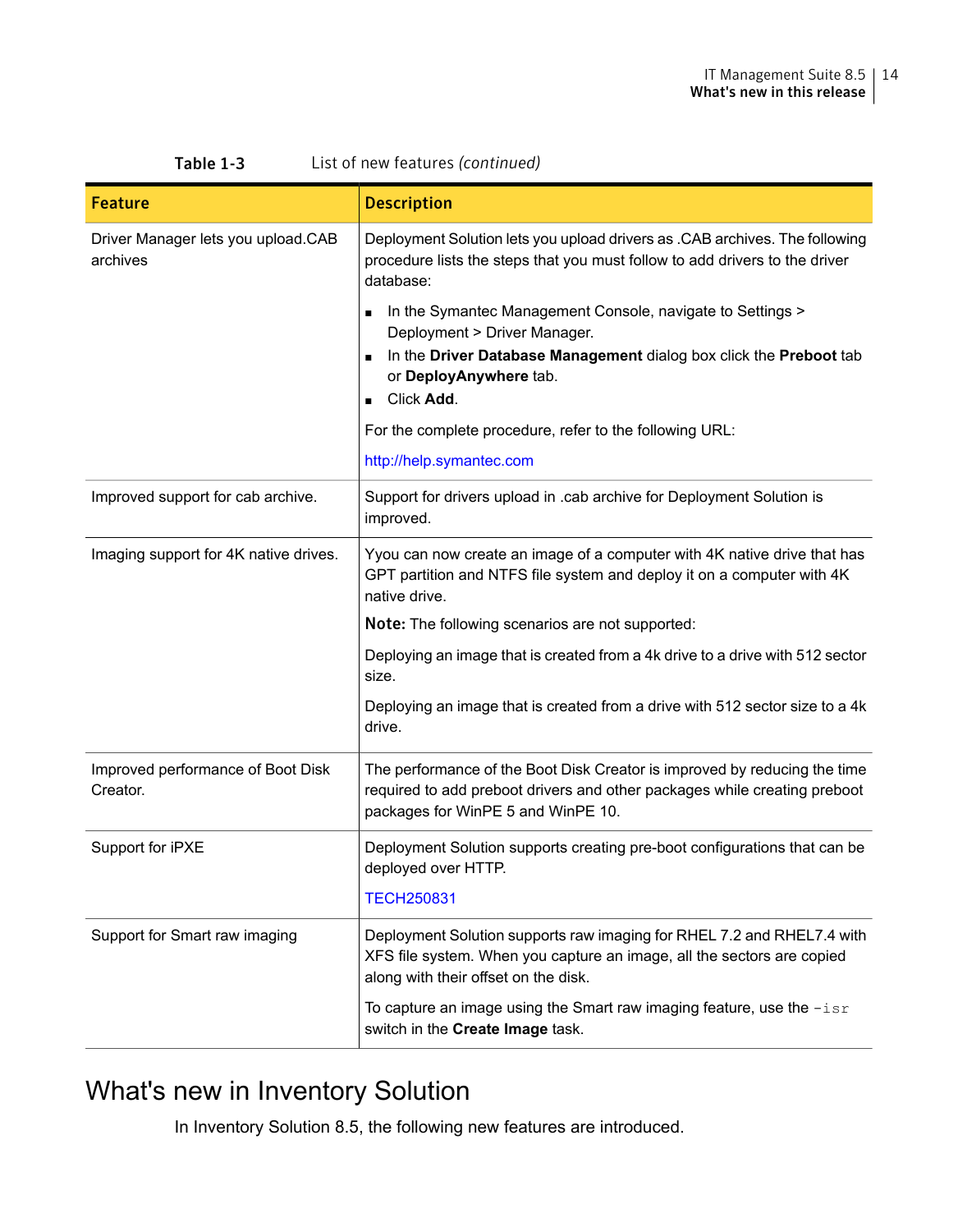| <b>Feature</b>                                 | <b>Description</b>                                                                                                                                                                           |  |
|------------------------------------------------|----------------------------------------------------------------------------------------------------------------------------------------------------------------------------------------------|--|
| Driver Manager lets you upload.CAB<br>archives | Deployment Solution lets you upload drivers as .CAB archives. The following<br>procedure lists the steps that you must follow to add drivers to the driver<br>database:                      |  |
|                                                | In the Symantec Management Console, navigate to Settings ><br>Deployment > Driver Manager.<br>In the Driver Database Management dialog box click the Preboot tab<br>or DeployAnywhere tab.   |  |
|                                                | Click Add.                                                                                                                                                                                   |  |
|                                                | For the complete procedure, refer to the following URL:                                                                                                                                      |  |
|                                                | http://help.symantec.com                                                                                                                                                                     |  |
| Improved support for cab archive.              | Support for drivers upload in .cab archive for Deployment Solution is<br>improved.                                                                                                           |  |
| Imaging support for 4K native drives.          | Yyou can now create an image of a computer with 4K native drive that has<br>GPT partition and NTFS file system and deploy it on a computer with 4K<br>native drive.                          |  |
|                                                | Note: The following scenarios are not supported:                                                                                                                                             |  |
|                                                | Deploying an image that is created from a 4k drive to a drive with 512 sector<br>size.                                                                                                       |  |
|                                                | Deploying an image that is created from a drive with 512 sector size to a 4k<br>drive.                                                                                                       |  |
| Improved performance of Boot Disk<br>Creator.  | The performance of the Boot Disk Creator is improved by reducing the time<br>required to add preboot drivers and other packages while creating preboot<br>packages for WinPE 5 and WinPE 10. |  |
| Support for iPXE                               | Deployment Solution supports creating pre-boot configurations that can be<br>deployed over HTTP.                                                                                             |  |
|                                                | <b>TECH250831</b>                                                                                                                                                                            |  |
| Support for Smart raw imaging                  | Deployment Solution supports raw imaging for RHEL 7.2 and RHEL7.4 with<br>XFS file system. When you capture an image, all the sectors are copied<br>along with their offset on the disk.     |  |
|                                                | To capture an image using the Smart raw imaging feature, use the $-isr$<br>switch in the <b>Create Image</b> task.                                                                           |  |

#### Table 1-3 List of new features *(continued)*

### <span id="page-13-0"></span>What's new in Inventory Solution

In Inventory Solution 8.5, the following new features are introduced.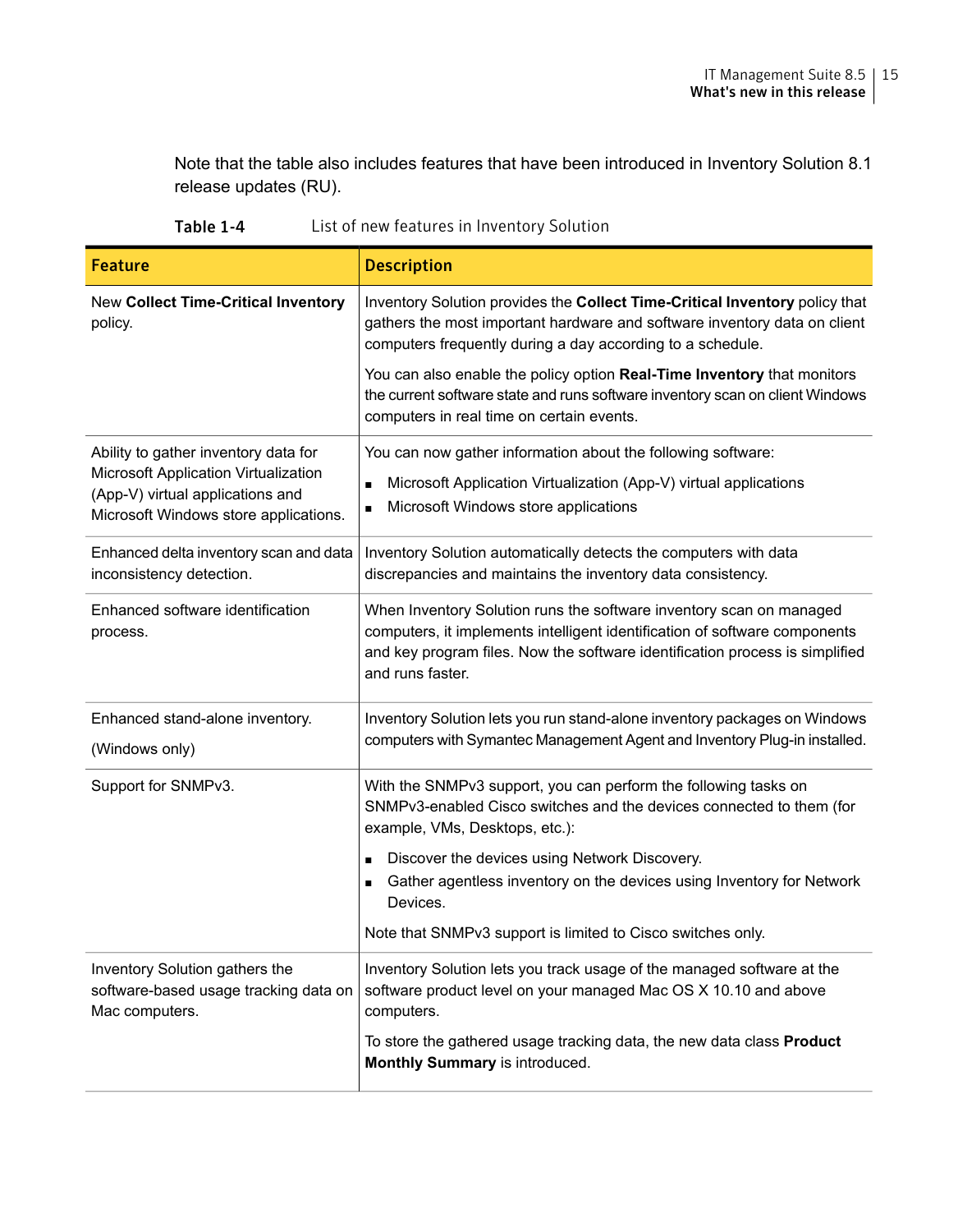Note that the table also includes features that have been introduced in Inventory Solution 8.1 release updates (RU).

| Table 1-4 |  | List of new features in Inventory Solution |
|-----------|--|--------------------------------------------|
|-----------|--|--------------------------------------------|

| <b>Feature</b>                                                                                                    | <b>Description</b>                                                                                                                                                                                                                                    |
|-------------------------------------------------------------------------------------------------------------------|-------------------------------------------------------------------------------------------------------------------------------------------------------------------------------------------------------------------------------------------------------|
| New Collect Time-Critical Inventory<br>policy.                                                                    | Inventory Solution provides the Collect Time-Critical Inventory policy that<br>gathers the most important hardware and software inventory data on client<br>computers frequently during a day according to a schedule.                                |
|                                                                                                                   | You can also enable the policy option Real-Time Inventory that monitors<br>the current software state and runs software inventory scan on client Windows<br>computers in real time on certain events.                                                 |
| Ability to gather inventory data for                                                                              | You can now gather information about the following software:                                                                                                                                                                                          |
| Microsoft Application Virtualization<br>(App-V) virtual applications and<br>Microsoft Windows store applications. | Microsoft Application Virtualization (App-V) virtual applications<br>n<br>Microsoft Windows store applications<br>п                                                                                                                                   |
| Enhanced delta inventory scan and data<br>inconsistency detection.                                                | Inventory Solution automatically detects the computers with data<br>discrepancies and maintains the inventory data consistency.                                                                                                                       |
| Enhanced software identification<br>process.                                                                      | When Inventory Solution runs the software inventory scan on managed<br>computers, it implements intelligent identification of software components<br>and key program files. Now the software identification process is simplified<br>and runs faster. |
| Enhanced stand-alone inventory.<br>(Windows only)                                                                 | Inventory Solution lets you run stand-alone inventory packages on Windows<br>computers with Symantec Management Agent and Inventory Plug-in installed.                                                                                                |
| Support for SNMPv3.                                                                                               | With the SNMPv3 support, you can perform the following tasks on<br>SNMPv3-enabled Cisco switches and the devices connected to them (for<br>example, VMs, Desktops, etc.):                                                                             |
|                                                                                                                   | Discover the devices using Network Discovery.                                                                                                                                                                                                         |
|                                                                                                                   | Gather agentless inventory on the devices using Inventory for Network<br>Devices.                                                                                                                                                                     |
|                                                                                                                   | Note that SNMPv3 support is limited to Cisco switches only.                                                                                                                                                                                           |
| Inventory Solution gathers the<br>software-based usage tracking data on<br>Mac computers.                         | Inventory Solution lets you track usage of the managed software at the<br>software product level on your managed Mac OS X 10.10 and above<br>computers.                                                                                               |
|                                                                                                                   | To store the gathered usage tracking data, the new data class <b>Product</b><br>Monthly Summary is introduced.                                                                                                                                        |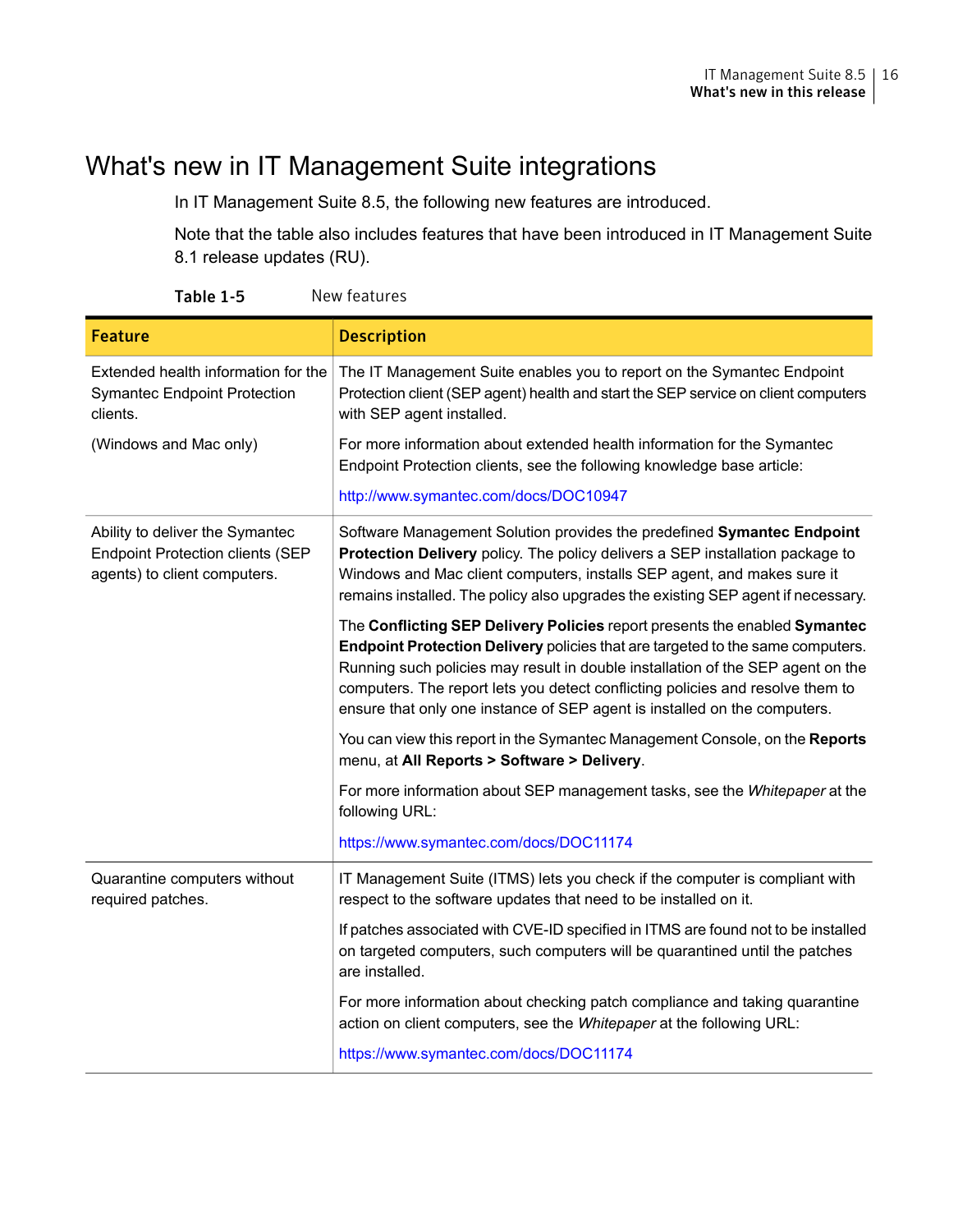### What's new in IT Management Suite integrations

<span id="page-15-0"></span>In IT Management Suite 8.5, the following new features are introduced.

Note that the table also includes features that have been introduced in IT Management Suite 8.1 release updates (RU).

| <b>Feature</b>                                                                                             | <b>Description</b>                                                                                                                                                                                                                                                                                                                                                                                                    |
|------------------------------------------------------------------------------------------------------------|-----------------------------------------------------------------------------------------------------------------------------------------------------------------------------------------------------------------------------------------------------------------------------------------------------------------------------------------------------------------------------------------------------------------------|
| Extended health information for the<br><b>Symantec Endpoint Protection</b><br>clients.                     | The IT Management Suite enables you to report on the Symantec Endpoint<br>Protection client (SEP agent) health and start the SEP service on client computers<br>with SEP agent installed.                                                                                                                                                                                                                             |
| (Windows and Mac only)                                                                                     | For more information about extended health information for the Symantec<br>Endpoint Protection clients, see the following knowledge base article:                                                                                                                                                                                                                                                                     |
|                                                                                                            | http://www.symantec.com/docs/DOC10947                                                                                                                                                                                                                                                                                                                                                                                 |
| Ability to deliver the Symantec<br><b>Endpoint Protection clients (SEP</b><br>agents) to client computers. | Software Management Solution provides the predefined Symantec Endpoint<br><b>Protection Delivery</b> policy. The policy delivers a SEP installation package to<br>Windows and Mac client computers, installs SEP agent, and makes sure it<br>remains installed. The policy also upgrades the existing SEP agent if necessary.                                                                                         |
|                                                                                                            | The Conflicting SEP Delivery Policies report presents the enabled Symantec<br><b>Endpoint Protection Delivery policies that are targeted to the same computers.</b><br>Running such policies may result in double installation of the SEP agent on the<br>computers. The report lets you detect conflicting policies and resolve them to<br>ensure that only one instance of SEP agent is installed on the computers. |
|                                                                                                            | You can view this report in the Symantec Management Console, on the Reports<br>menu, at All Reports > Software > Delivery.                                                                                                                                                                                                                                                                                            |
|                                                                                                            | For more information about SEP management tasks, see the Whitepaper at the<br>following URL:                                                                                                                                                                                                                                                                                                                          |
|                                                                                                            | https://www.symantec.com/docs/DOC11174                                                                                                                                                                                                                                                                                                                                                                                |
| Quarantine computers without<br>required patches.                                                          | IT Management Suite (ITMS) lets you check if the computer is compliant with<br>respect to the software updates that need to be installed on it.                                                                                                                                                                                                                                                                       |
|                                                                                                            | If patches associated with CVE-ID specified in ITMS are found not to be installed<br>on targeted computers, such computers will be quarantined until the patches<br>are installed.                                                                                                                                                                                                                                    |
|                                                                                                            | For more information about checking patch compliance and taking quarantine<br>action on client computers, see the Whitepaper at the following URL:                                                                                                                                                                                                                                                                    |
|                                                                                                            | https://www.symantec.com/docs/DOC11174                                                                                                                                                                                                                                                                                                                                                                                |

Table 1-5 New features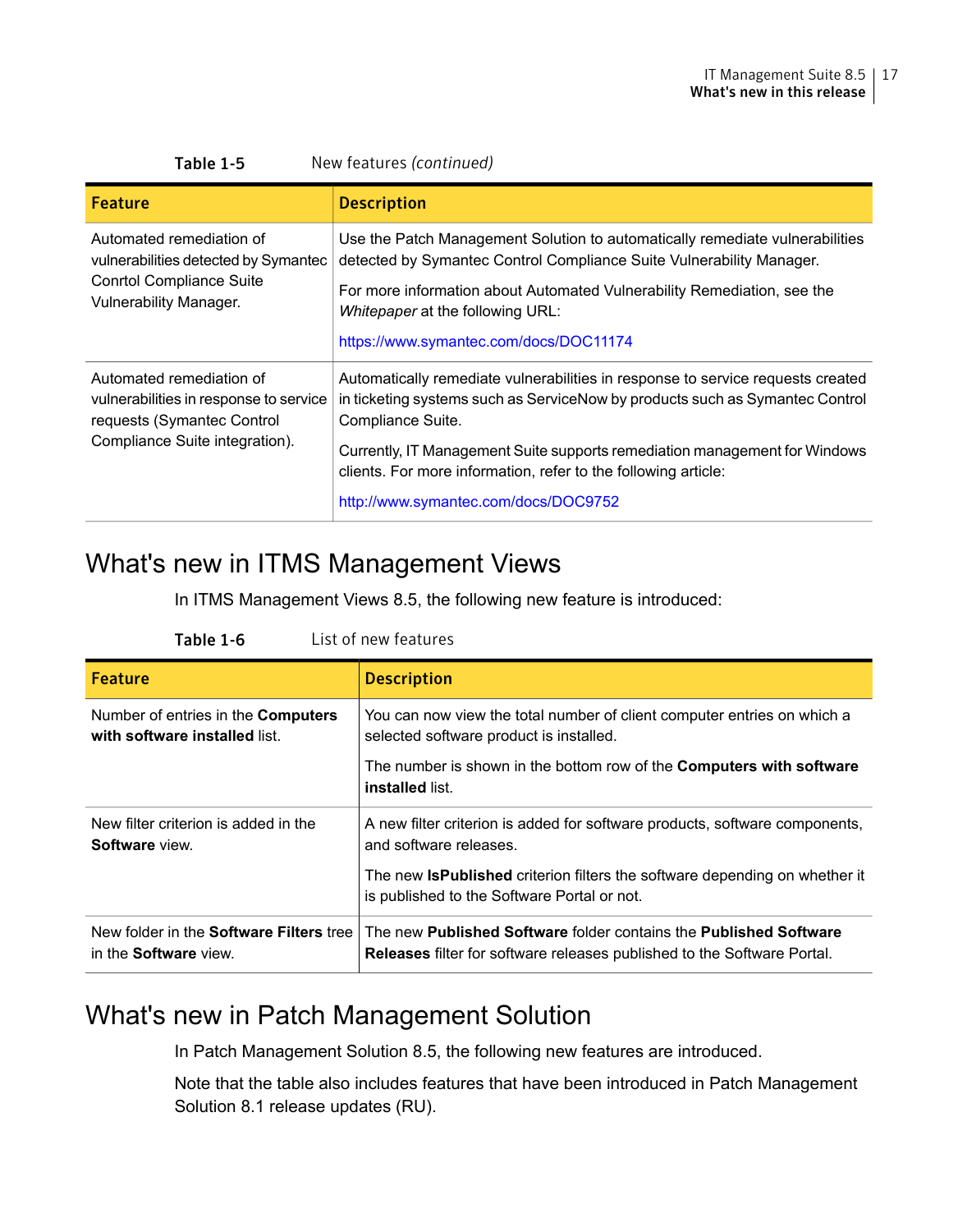| New features (continued)<br>Table 1-5                                                                                                |                                                                                                                                                                                                                                                                                                                                                                              |  |
|--------------------------------------------------------------------------------------------------------------------------------------|------------------------------------------------------------------------------------------------------------------------------------------------------------------------------------------------------------------------------------------------------------------------------------------------------------------------------------------------------------------------------|--|
| Feature                                                                                                                              | <b>Description</b>                                                                                                                                                                                                                                                                                                                                                           |  |
| Automated remediation of<br>vulnerabilities detected by Symantec<br><b>Conrtol Compliance Suite</b><br><b>Vulnerability Manager.</b> | Use the Patch Management Solution to automatically remediate vulnerabilities<br>detected by Symantec Control Compliance Suite Vulnerability Manager.<br>For more information about Automated Vulnerability Remediation, see the<br>Whitepaper at the following URL:<br>https://www.symantec.com/docs/DOC11174                                                                |  |
| Automated remediation of<br>vulnerabilities in response to service<br>requests (Symantec Control<br>Compliance Suite integration).   | Automatically remediate vulnerabilities in response to service requests created<br>in ticketing systems such as ServiceNow by products such as Symantec Control<br>Compliance Suite.<br>Currently, IT Management Suite supports remediation management for Windows<br>clients. For more information, refer to the following article:<br>http://www.symantec.com/docs/DOC9752 |  |

### <span id="page-16-0"></span>What's new in ITMS Management Views

In ITMS Management Views 8.5, the following new feature is introduced:

| <b>Feature</b>                                                                 | <b>Description</b>                                                                                                                                  |
|--------------------------------------------------------------------------------|-----------------------------------------------------------------------------------------------------------------------------------------------------|
| Number of entries in the <b>Computers</b><br>with software installed list.     | You can now view the total number of client computer entries on which a<br>selected software product is installed.                                  |
|                                                                                | The number is shown in the bottom row of the <b>Computers with software</b><br>installed list.                                                      |
| New filter criterion is added in the<br>Software view.                         | A new filter criterion is added for software products, software components,<br>and software releases                                                |
|                                                                                | The new <b>IsPublished</b> criterion filters the software depending on whether it<br>is published to the Software Portal or not.                    |
| New folder in the <b>Software Filters</b> tree<br>in the <b>Software</b> view. | The new Published Software folder contains the Published Software<br><b>Releases</b> filter for software releases published to the Software Portal. |

#### Table 1-6 List of new features

### <span id="page-16-1"></span>What's new in Patch Management Solution

In Patch Management Solution 8.5, the following new features are introduced.

Note that the table also includes features that have been introduced in Patch Management Solution 8.1 release updates (RU).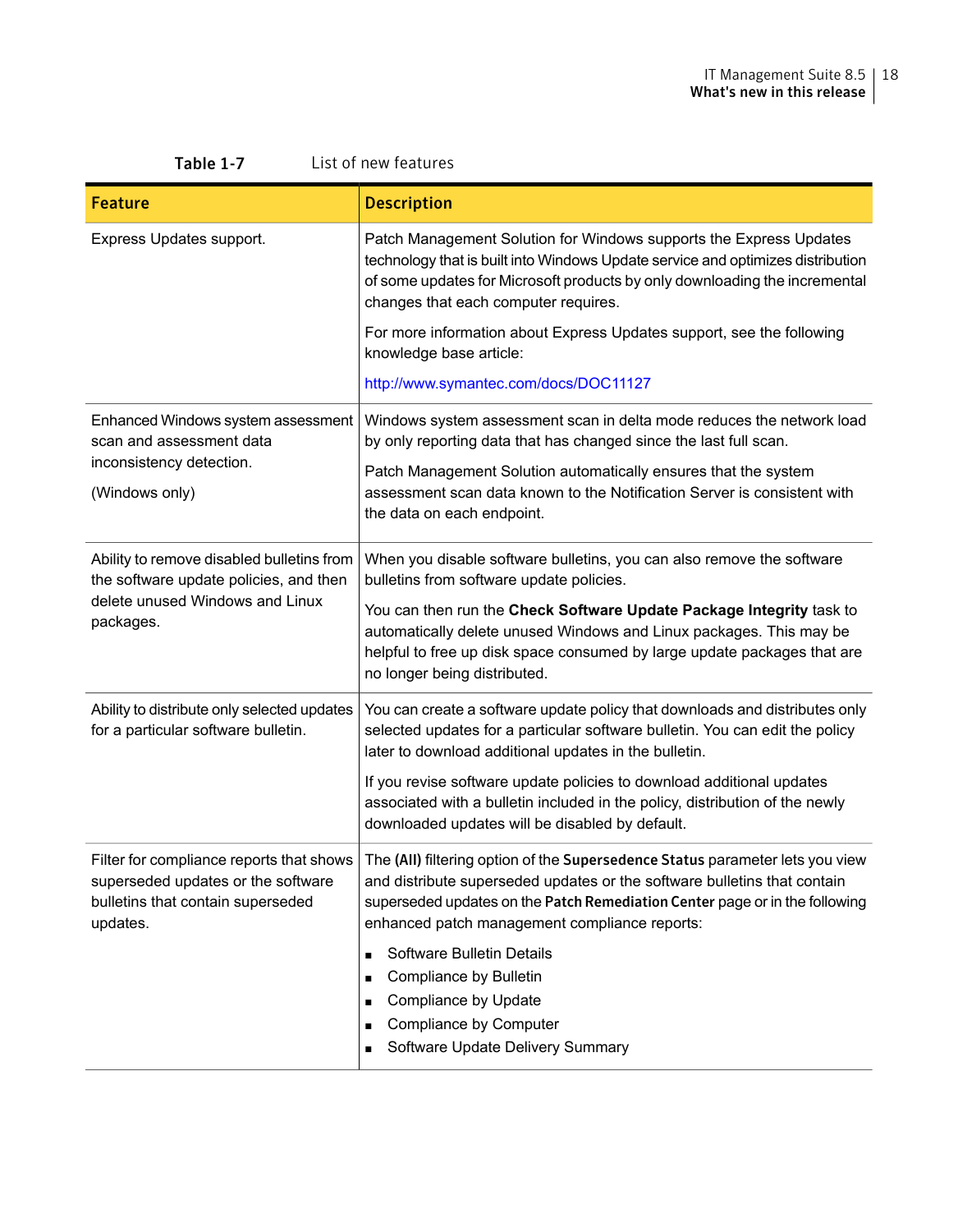| Table 1-7<br>List of new features                                                                                                   |                                                                                                                                                                                                                                                                                                                                                                                                                                                                                                        |  |
|-------------------------------------------------------------------------------------------------------------------------------------|--------------------------------------------------------------------------------------------------------------------------------------------------------------------------------------------------------------------------------------------------------------------------------------------------------------------------------------------------------------------------------------------------------------------------------------------------------------------------------------------------------|--|
| <b>Feature</b>                                                                                                                      | <b>Description</b>                                                                                                                                                                                                                                                                                                                                                                                                                                                                                     |  |
| Express Updates support.                                                                                                            | Patch Management Solution for Windows supports the Express Updates<br>technology that is built into Windows Update service and optimizes distribution<br>of some updates for Microsoft products by only downloading the incremental<br>changes that each computer requires.<br>For more information about Express Updates support, see the following<br>knowledge base article:<br>http://www.symantec.com/docs/DOC11127                                                                               |  |
| Enhanced Windows system assessment<br>scan and assessment data<br>inconsistency detection.<br>(Windows only)                        | Windows system assessment scan in delta mode reduces the network load<br>by only reporting data that has changed since the last full scan.<br>Patch Management Solution automatically ensures that the system<br>assessment scan data known to the Notification Server is consistent with<br>the data on each endpoint.                                                                                                                                                                                |  |
| Ability to remove disabled bulletins from<br>the software update policies, and then<br>delete unused Windows and Linux<br>packages. | When you disable software bulletins, you can also remove the software<br>bulletins from software update policies.<br>You can then run the Check Software Update Package Integrity task to<br>automatically delete unused Windows and Linux packages. This may be<br>helpful to free up disk space consumed by large update packages that are<br>no longer being distributed.                                                                                                                           |  |
| Ability to distribute only selected updates<br>for a particular software bulletin.                                                  | You can create a software update policy that downloads and distributes only<br>selected updates for a particular software bulletin. You can edit the policy<br>later to download additional updates in the bulletin.<br>If you revise software update policies to download additional updates<br>associated with a bulletin included in the policy, distribution of the newly<br>downloaded updates will be disabled by default.                                                                       |  |
| Filter for compliance reports that shows<br>superseded updates or the software<br>bulletins that contain superseded<br>updates.     | The (AII) filtering option of the Supersedence Status parameter lets you view<br>and distribute superseded updates or the software bulletins that contain<br>superseded updates on the Patch Remediation Center page or in the following<br>enhanced patch management compliance reports:<br>Software Bulletin Details<br>$\blacksquare$<br>Compliance by Bulletin<br>$\blacksquare$<br>Compliance by Update<br>п<br>Compliance by Computer<br>п<br>Software Update Delivery Summary<br>$\blacksquare$ |  |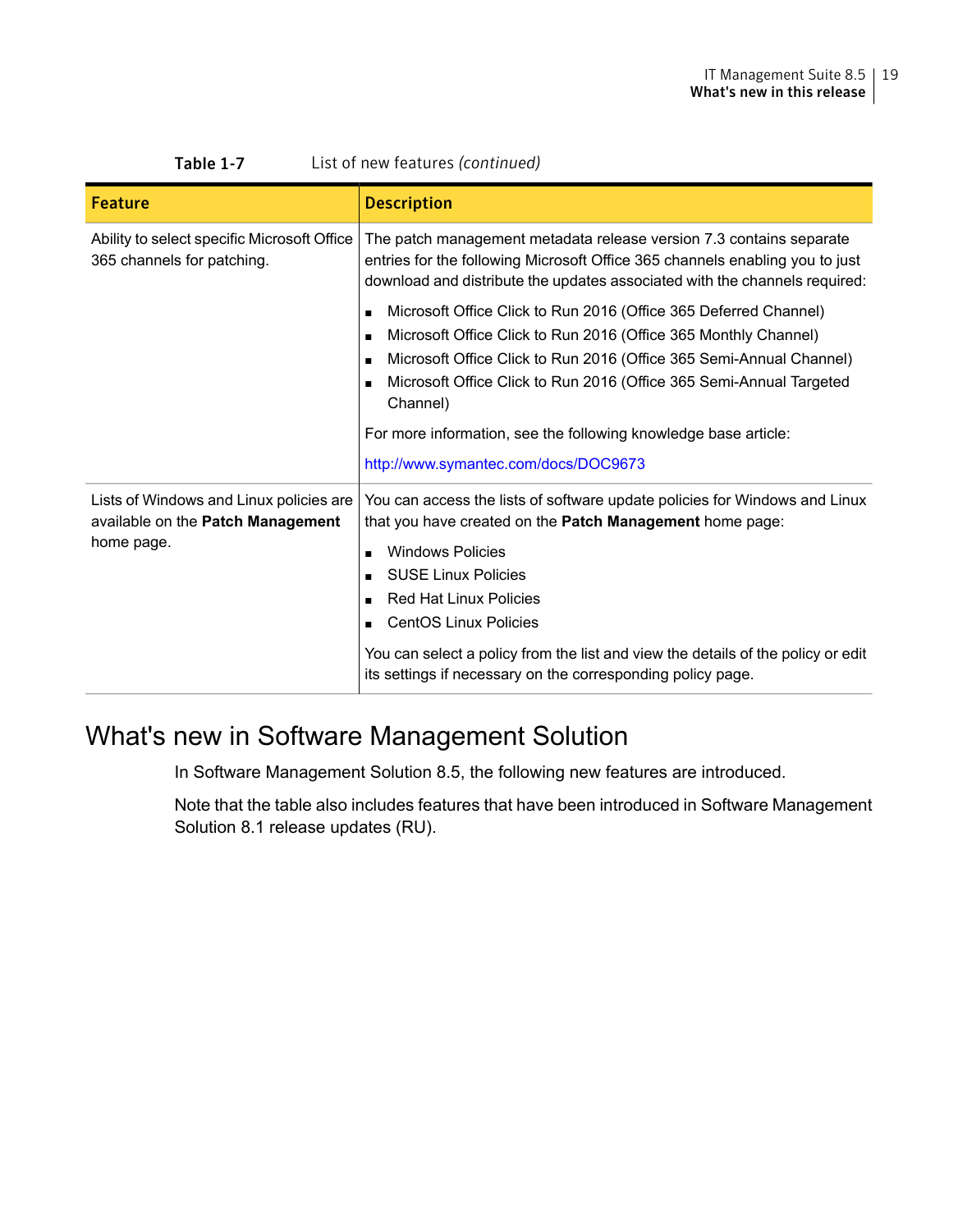| Table 1-7<br>List of new features (continued)                                              |                                                                                                                                                                                                                                                                                                                                               |
|--------------------------------------------------------------------------------------------|-----------------------------------------------------------------------------------------------------------------------------------------------------------------------------------------------------------------------------------------------------------------------------------------------------------------------------------------------|
| <b>Feature</b>                                                                             | <b>Description</b>                                                                                                                                                                                                                                                                                                                            |
| Ability to select specific Microsoft Office<br>365 channels for patching.                  | The patch management metadata release version 7.3 contains separate<br>entries for the following Microsoft Office 365 channels enabling you to just<br>download and distribute the updates associated with the channels required:                                                                                                             |
|                                                                                            | Microsoft Office Click to Run 2016 (Office 365 Deferred Channel)<br>Microsoft Office Click to Run 2016 (Office 365 Monthly Channel)<br>$\blacksquare$<br>Microsoft Office Click to Run 2016 (Office 365 Semi-Annual Channel)<br>Microsoft Office Click to Run 2016 (Office 365 Semi-Annual Targeted<br>Channel)                               |
|                                                                                            | For more information, see the following knowledge base article:<br>http://www.symantec.com/docs/DOC9673                                                                                                                                                                                                                                       |
| Lists of Windows and Linux policies are<br>available on the Patch Management<br>home page. | You can access the lists of software update policies for Windows and Linux<br>that you have created on the Patch Management home page:<br><b>Windows Policies</b><br><b>SUSE Linux Policies</b><br><b>Red Hat Linux Policies</b><br>CentOS Linux Policies<br>You can select a policy from the list and view the details of the policy or edit |
|                                                                                            | its settings if necessary on the corresponding policy page.                                                                                                                                                                                                                                                                                   |

### <span id="page-18-0"></span>What's new in Software Management Solution

In Software Management Solution 8.5, the following new features are introduced.

Note that the table also includes features that have been introduced in Software Management Solution 8.1 release updates (RU).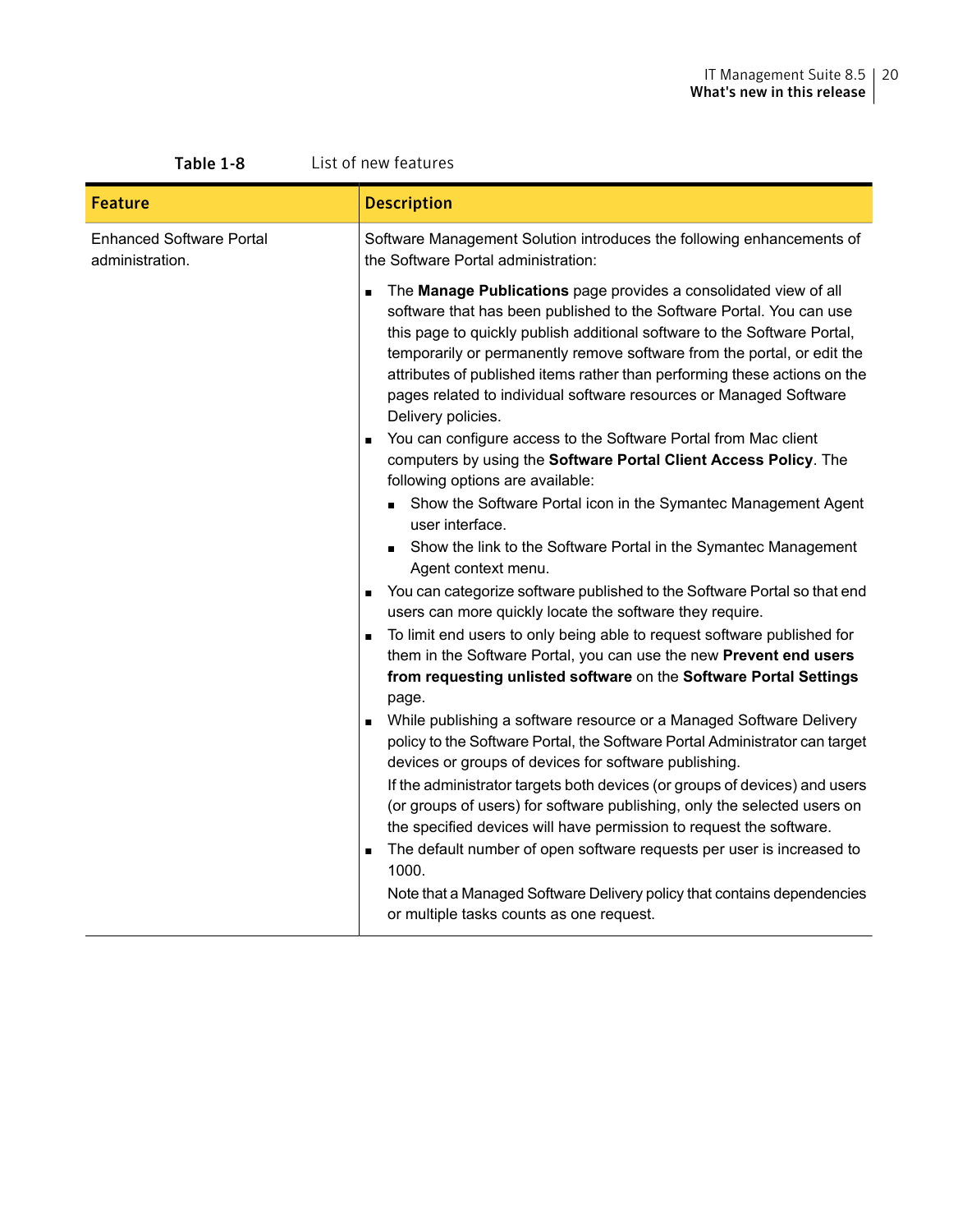#### IT Management Suite 8.5 | 20 What's new in this release

| Table 1-8                                          | List of new features                                                                                                                                                                                                                                                                                                                                                                                                                                                     |  |
|----------------------------------------------------|--------------------------------------------------------------------------------------------------------------------------------------------------------------------------------------------------------------------------------------------------------------------------------------------------------------------------------------------------------------------------------------------------------------------------------------------------------------------------|--|
| <b>Feature</b>                                     | <b>Description</b>                                                                                                                                                                                                                                                                                                                                                                                                                                                       |  |
| <b>Enhanced Software Portal</b><br>administration. | Software Management Solution introduces the following enhancements of<br>the Software Portal administration:                                                                                                                                                                                                                                                                                                                                                             |  |
|                                                    | The Manage Publications page provides a consolidated view of all<br>software that has been published to the Software Portal. You can use<br>this page to quickly publish additional software to the Software Portal,<br>temporarily or permanently remove software from the portal, or edit the<br>attributes of published items rather than performing these actions on the<br>pages related to individual software resources or Managed Software<br>Delivery policies. |  |
|                                                    | You can configure access to the Software Portal from Mac client<br>$\blacksquare$<br>computers by using the Software Portal Client Access Policy. The<br>following options are available:                                                                                                                                                                                                                                                                                |  |
|                                                    | Show the Software Portal icon in the Symantec Management Agent<br>user interface.                                                                                                                                                                                                                                                                                                                                                                                        |  |
|                                                    | • Show the link to the Software Portal in the Symantec Management<br>Agent context menu.                                                                                                                                                                                                                                                                                                                                                                                 |  |
|                                                    | You can categorize software published to the Software Portal so that end<br>users can more quickly locate the software they require.                                                                                                                                                                                                                                                                                                                                     |  |
|                                                    | To limit end users to only being able to request software published for<br>them in the Software Portal, you can use the new Prevent end users<br>from requesting unlisted software on the Software Portal Settings<br>page.                                                                                                                                                                                                                                              |  |
|                                                    | While publishing a software resource or a Managed Software Delivery<br>policy to the Software Portal, the Software Portal Administrator can target<br>devices or groups of devices for software publishing.                                                                                                                                                                                                                                                              |  |
|                                                    | If the administrator targets both devices (or groups of devices) and users<br>(or groups of users) for software publishing, only the selected users on<br>the specified devices will have permission to request the software.                                                                                                                                                                                                                                            |  |
|                                                    | The default number of open software requests per user is increased to<br>$\blacksquare$<br>1000.                                                                                                                                                                                                                                                                                                                                                                         |  |
|                                                    | Note that a Managed Software Delivery policy that contains dependencies<br>or multiple tasks counts as one request.                                                                                                                                                                                                                                                                                                                                                      |  |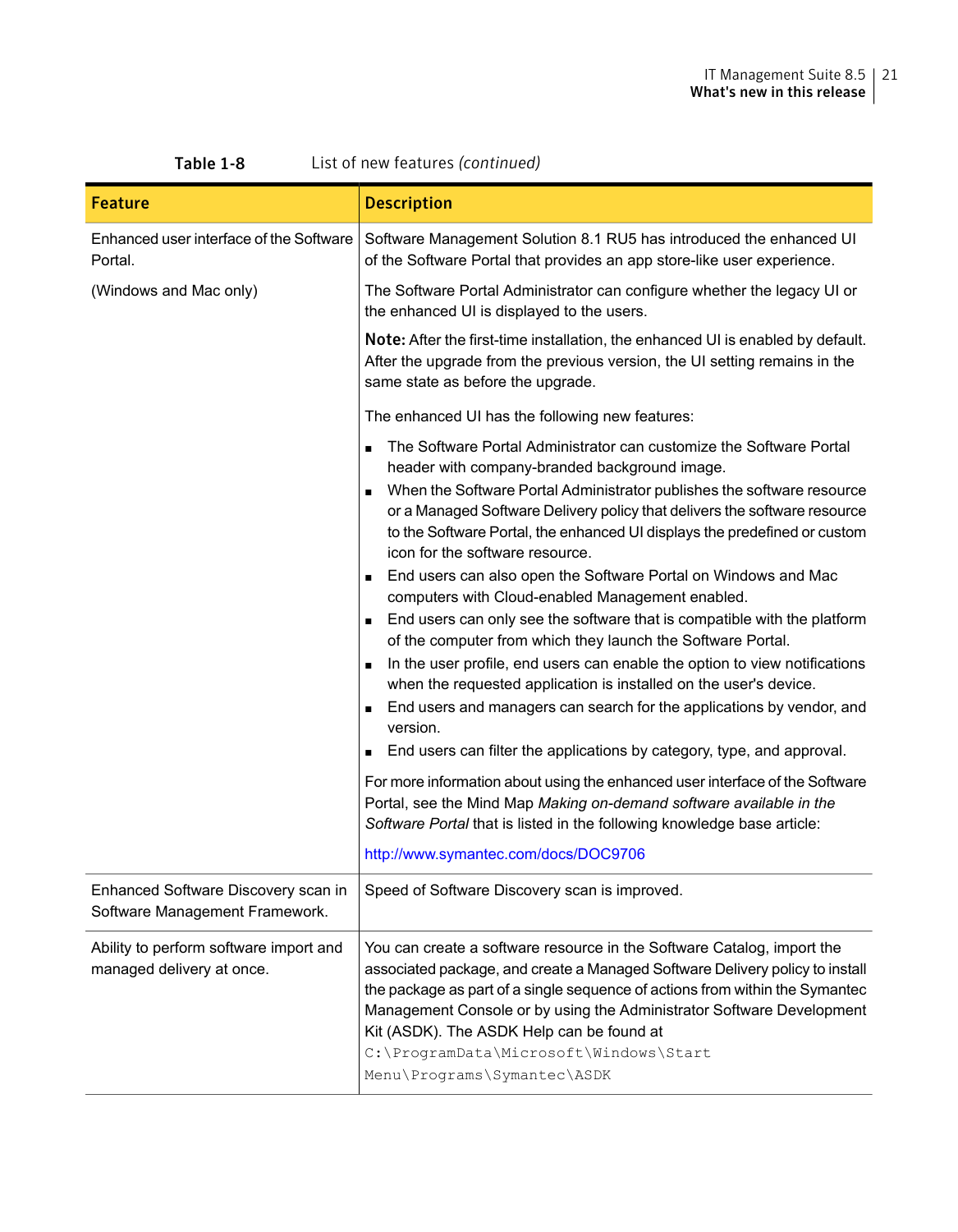| <b>Feature</b>                                                        | <b>Description</b>                                                                                                                                                                                                                                                                                                                                                                                                                                                                                                                                                                                                                                                                                                                                                                                                                                                                                                                                                                                                                                                                                                                                                                                                                                                                           |
|-----------------------------------------------------------------------|----------------------------------------------------------------------------------------------------------------------------------------------------------------------------------------------------------------------------------------------------------------------------------------------------------------------------------------------------------------------------------------------------------------------------------------------------------------------------------------------------------------------------------------------------------------------------------------------------------------------------------------------------------------------------------------------------------------------------------------------------------------------------------------------------------------------------------------------------------------------------------------------------------------------------------------------------------------------------------------------------------------------------------------------------------------------------------------------------------------------------------------------------------------------------------------------------------------------------------------------------------------------------------------------|
| Enhanced user interface of the Software<br>Portal.                    | Software Management Solution 8.1 RU5 has introduced the enhanced UI<br>of the Software Portal that provides an app store-like user experience.                                                                                                                                                                                                                                                                                                                                                                                                                                                                                                                                                                                                                                                                                                                                                                                                                                                                                                                                                                                                                                                                                                                                               |
| (Windows and Mac only)                                                | The Software Portal Administrator can configure whether the legacy UI or<br>the enhanced UI is displayed to the users.                                                                                                                                                                                                                                                                                                                                                                                                                                                                                                                                                                                                                                                                                                                                                                                                                                                                                                                                                                                                                                                                                                                                                                       |
|                                                                       | <b>Note:</b> After the first-time installation, the enhanced UI is enabled by default.<br>After the upgrade from the previous version, the UI setting remains in the<br>same state as before the upgrade.                                                                                                                                                                                                                                                                                                                                                                                                                                                                                                                                                                                                                                                                                                                                                                                                                                                                                                                                                                                                                                                                                    |
|                                                                       | The enhanced UI has the following new features:                                                                                                                                                                                                                                                                                                                                                                                                                                                                                                                                                                                                                                                                                                                                                                                                                                                                                                                                                                                                                                                                                                                                                                                                                                              |
|                                                                       | The Software Portal Administrator can customize the Software Portal<br>$\blacksquare$<br>header with company-branded background image.<br>When the Software Portal Administrator publishes the software resource<br>or a Managed Software Delivery policy that delivers the software resource<br>to the Software Portal, the enhanced UI displays the predefined or custom<br>icon for the software resource.<br>End users can also open the Software Portal on Windows and Mac<br>$\blacksquare$<br>computers with Cloud-enabled Management enabled.<br>End users can only see the software that is compatible with the platform<br>of the computer from which they launch the Software Portal.<br>In the user profile, end users can enable the option to view notifications<br>when the requested application is installed on the user's device.<br>End users and managers can search for the applications by vendor, and<br>version.<br>End users can filter the applications by category, type, and approval.<br>For more information about using the enhanced user interface of the Software<br>Portal, see the Mind Map Making on-demand software available in the<br>Software Portal that is listed in the following knowledge base article:<br>http://www.symantec.com/docs/DOC9706 |
| Enhanced Software Discovery scan in<br>Software Management Framework. | Speed of Software Discovery scan is improved.                                                                                                                                                                                                                                                                                                                                                                                                                                                                                                                                                                                                                                                                                                                                                                                                                                                                                                                                                                                                                                                                                                                                                                                                                                                |
| Ability to perform software import and<br>managed delivery at once.   | You can create a software resource in the Software Catalog, import the<br>associated package, and create a Managed Software Delivery policy to install<br>the package as part of a single sequence of actions from within the Symantec<br>Management Console or by using the Administrator Software Development<br>Kit (ASDK). The ASDK Help can be found at<br>C:\ProgramData\Microsoft\Windows\Start<br>Menu\Programs\Symantec\ASDK                                                                                                                                                                                                                                                                                                                                                                                                                                                                                                                                                                                                                                                                                                                                                                                                                                                        |

Table 1-8 List of new features *(continued)*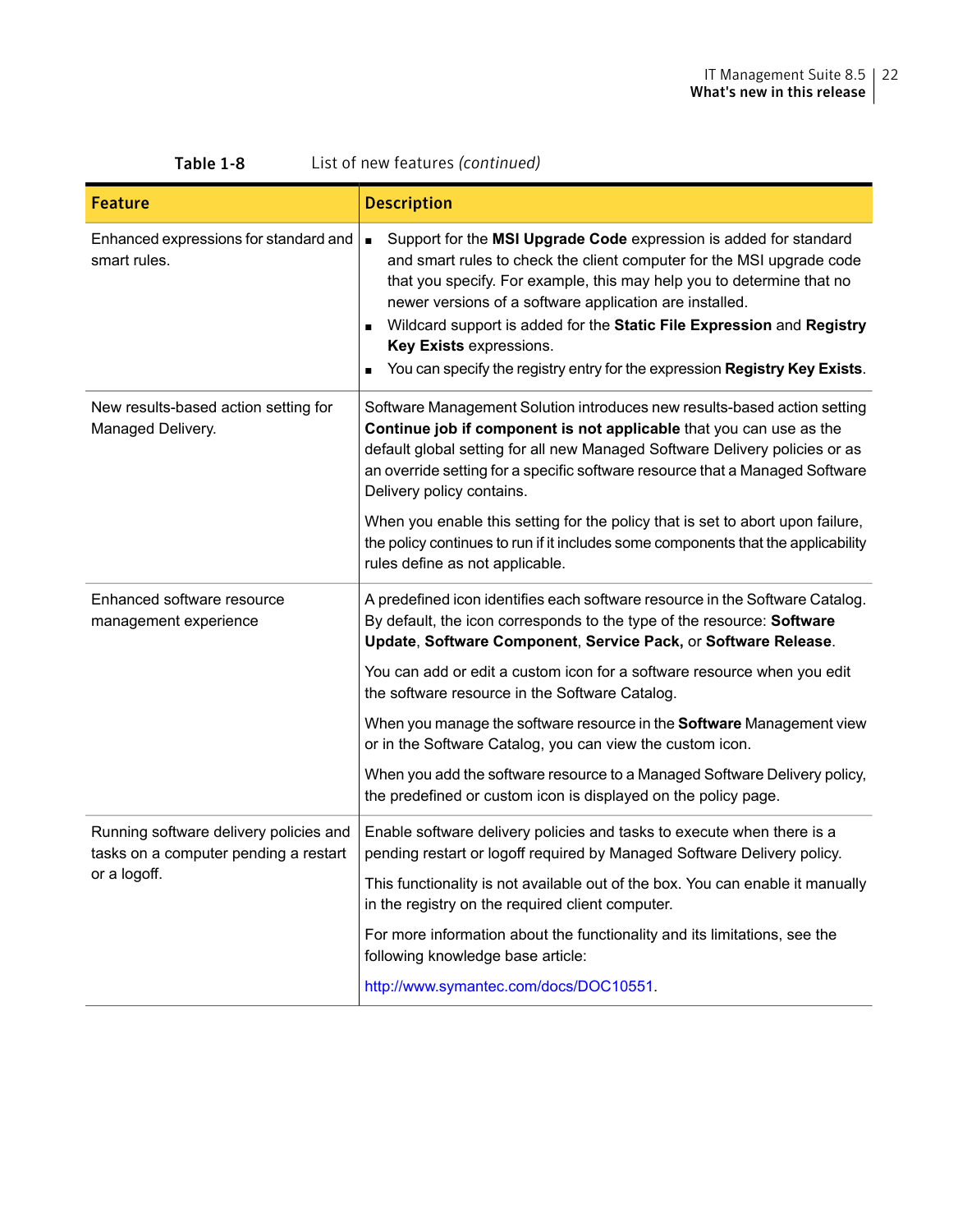| 1able 1-8<br>List of new reatures ( <i>continued</i> )                                          |                                                                                                                                                                                                                                                                                                                                                                                                                                                                                                      |  |
|-------------------------------------------------------------------------------------------------|------------------------------------------------------------------------------------------------------------------------------------------------------------------------------------------------------------------------------------------------------------------------------------------------------------------------------------------------------------------------------------------------------------------------------------------------------------------------------------------------------|--|
| Feature                                                                                         | <b>Description</b>                                                                                                                                                                                                                                                                                                                                                                                                                                                                                   |  |
| Enhanced expressions for standard and<br>smart rules.                                           | Support for the MSI Upgrade Code expression is added for standard<br>$\blacksquare$<br>and smart rules to check the client computer for the MSI upgrade code<br>that you specify. For example, this may help you to determine that no<br>newer versions of a software application are installed.<br>Wildcard support is added for the Static File Expression and Registry<br>$\blacksquare$<br>Key Exists expressions.<br>You can specify the registry entry for the expression Registry Key Exists. |  |
| New results-based action setting for<br>Managed Delivery.                                       | Software Management Solution introduces new results-based action setting<br>Continue job if component is not applicable that you can use as the<br>default global setting for all new Managed Software Delivery policies or as<br>an override setting for a specific software resource that a Managed Software<br>Delivery policy contains.                                                                                                                                                          |  |
|                                                                                                 | When you enable this setting for the policy that is set to abort upon failure,<br>the policy continues to run if it includes some components that the applicability<br>rules define as not applicable.                                                                                                                                                                                                                                                                                               |  |
| Enhanced software resource<br>management experience                                             | A predefined icon identifies each software resource in the Software Catalog.<br>By default, the icon corresponds to the type of the resource: Software<br>Update, Software Component, Service Pack, or Software Release.                                                                                                                                                                                                                                                                             |  |
|                                                                                                 | You can add or edit a custom icon for a software resource when you edit<br>the software resource in the Software Catalog.                                                                                                                                                                                                                                                                                                                                                                            |  |
|                                                                                                 | When you manage the software resource in the Software Management view<br>or in the Software Catalog, you can view the custom icon.                                                                                                                                                                                                                                                                                                                                                                   |  |
|                                                                                                 | When you add the software resource to a Managed Software Delivery policy,<br>the predefined or custom icon is displayed on the policy page.                                                                                                                                                                                                                                                                                                                                                          |  |
| Running software delivery policies and<br>tasks on a computer pending a restart<br>or a logoff. | Enable software delivery policies and tasks to execute when there is a<br>pending restart or logoff required by Managed Software Delivery policy.                                                                                                                                                                                                                                                                                                                                                    |  |
|                                                                                                 | This functionality is not available out of the box. You can enable it manually<br>in the registry on the required client computer.                                                                                                                                                                                                                                                                                                                                                                   |  |
|                                                                                                 | For more information about the functionality and its limitations, see the<br>following knowledge base article:                                                                                                                                                                                                                                                                                                                                                                                       |  |
|                                                                                                 | http://www.symantec.com/docs/DOC10551                                                                                                                                                                                                                                                                                                                                                                                                                                                                |  |

### Table 1-8 List of new features *(continued)*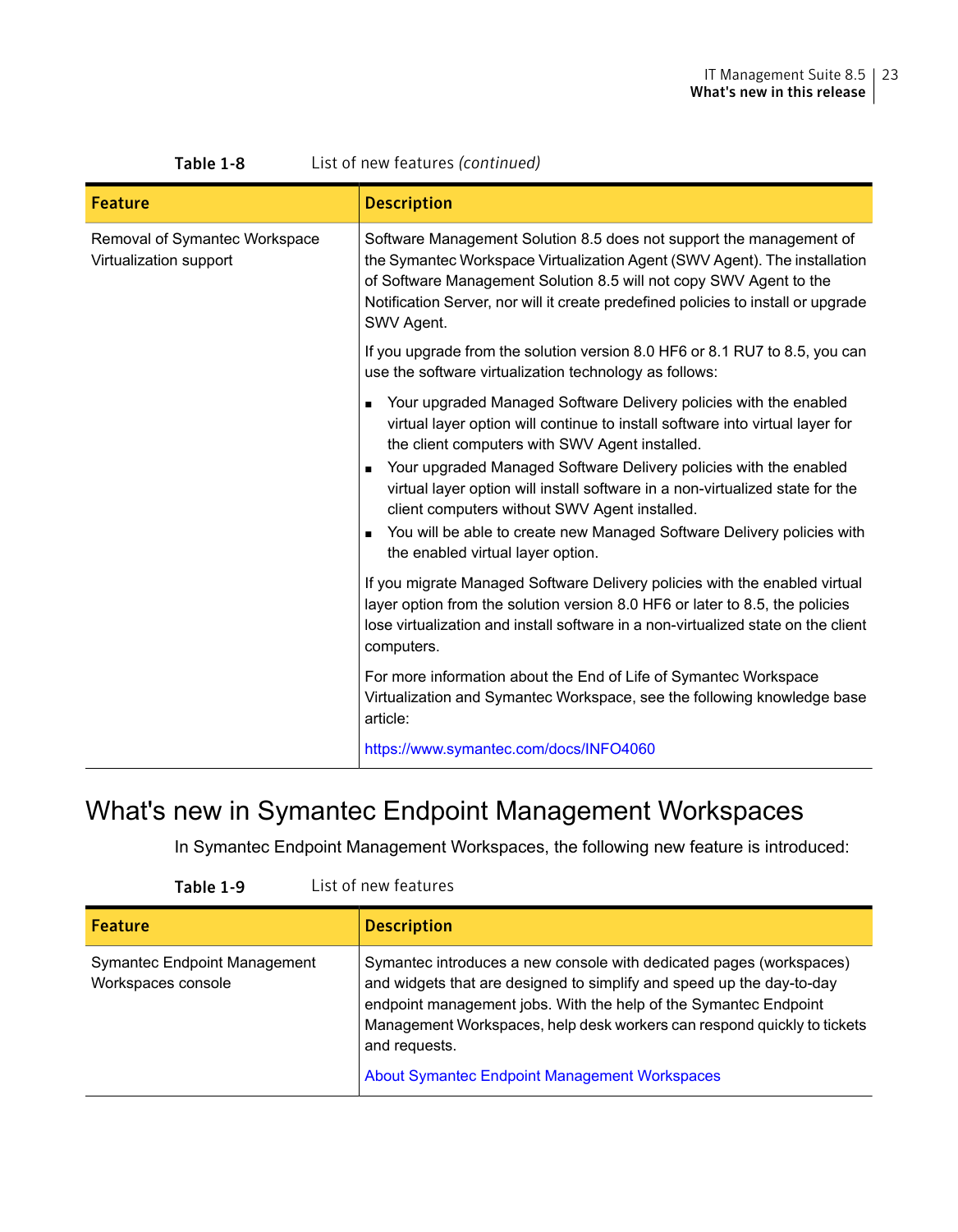| LUC VI HOW TOULDING TOUTHING OF                         |                                                                                                                                                                                                                                                                                                                                                                                                                                                                                                                                              |
|---------------------------------------------------------|----------------------------------------------------------------------------------------------------------------------------------------------------------------------------------------------------------------------------------------------------------------------------------------------------------------------------------------------------------------------------------------------------------------------------------------------------------------------------------------------------------------------------------------------|
| <b>Feature</b>                                          | <b>Description</b>                                                                                                                                                                                                                                                                                                                                                                                                                                                                                                                           |
| Removal of Symantec Workspace<br>Virtualization support | Software Management Solution 8.5 does not support the management of<br>the Symantec Workspace Virtualization Agent (SWV Agent). The installation<br>of Software Management Solution 8.5 will not copy SWV Agent to the<br>Notification Server, nor will it create predefined policies to install or upgrade<br>SWV Agent.                                                                                                                                                                                                                    |
|                                                         | If you upgrade from the solution version 8.0 HF6 or 8.1 RU7 to 8.5, you can<br>use the software virtualization technology as follows:                                                                                                                                                                                                                                                                                                                                                                                                        |
|                                                         | Your upgraded Managed Software Delivery policies with the enabled<br>virtual layer option will continue to install software into virtual layer for<br>the client computers with SWV Agent installed.<br>Your upgraded Managed Software Delivery policies with the enabled<br>$\blacksquare$<br>virtual layer option will install software in a non-virtualized state for the<br>client computers without SWV Agent installed.<br>You will be able to create new Managed Software Delivery policies with<br>the enabled virtual layer option. |
|                                                         | If you migrate Managed Software Delivery policies with the enabled virtual<br>layer option from the solution version 8.0 HF6 or later to 8.5, the policies<br>lose virtualization and install software in a non-virtualized state on the client<br>computers.                                                                                                                                                                                                                                                                                |
|                                                         | For more information about the End of Life of Symantec Workspace<br>Virtualization and Symantec Workspace, see the following knowledge base<br>article:                                                                                                                                                                                                                                                                                                                                                                                      |
|                                                         | https://www.symantec.com/docs/INFO4060                                                                                                                                                                                                                                                                                                                                                                                                                                                                                                       |

#### Table 1-8 List of new features *(continued)*

### <span id="page-22-0"></span>What's new in Symantec Endpoint Management Workspaces

In Symantec Endpoint Management Workspaces, the following new feature is introduced:

| Table 1-9 | List of new features |
|-----------|----------------------|
|-----------|----------------------|

| <b>Feature</b>                                            | <b>Description</b>                                                                                                                                                                                                                                                                                           |
|-----------------------------------------------------------|--------------------------------------------------------------------------------------------------------------------------------------------------------------------------------------------------------------------------------------------------------------------------------------------------------------|
| <b>Symantec Endpoint Management</b><br>Workspaces console | Symantec introduces a new console with dedicated pages (workspaces)<br>and widgets that are designed to simplify and speed up the day-to-day<br>endpoint management jobs. With the help of the Symantec Endpoint<br>Management Workspaces, help desk workers can respond quickly to tickets<br>and requests. |
|                                                           | <b>About Symantec Endpoint Management Workspaces</b>                                                                                                                                                                                                                                                         |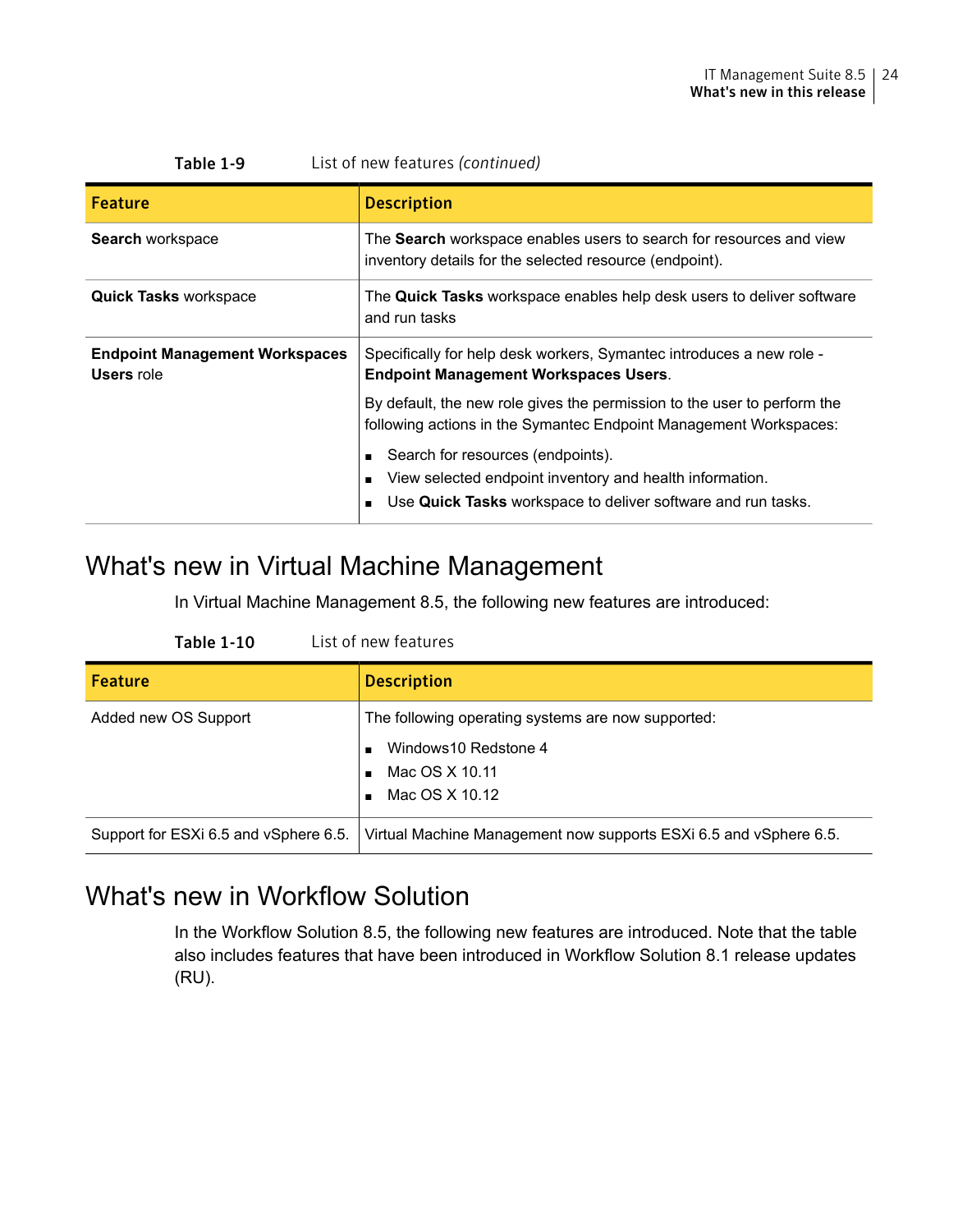| List of new features (continued)<br>Table 1-9              |                                                                                                                                                               |  |
|------------------------------------------------------------|---------------------------------------------------------------------------------------------------------------------------------------------------------------|--|
| Feature                                                    | <b>Description</b>                                                                                                                                            |  |
| Search workspace                                           | The <b>Search</b> workspace enables users to search for resources and view<br>inventory details for the selected resource (endpoint).                         |  |
| <b>Quick Tasks workspace</b>                               | The <b>Quick Tasks</b> workspace enables help desk users to deliver software<br>and run tasks                                                                 |  |
| <b>Endpoint Management Workspaces</b><br><b>Users</b> role | Specifically for help desk workers, Symantec introduces a new role -<br><b>Endpoint Management Workspaces Users.</b>                                          |  |
|                                                            | By default, the new role gives the permission to the user to perform the<br>following actions in the Symantec Endpoint Management Workspaces:                 |  |
|                                                            | Search for resources (endpoints).<br>View selected endpoint inventory and health information.<br>Use Quick Tasks workspace to deliver software and run tasks. |  |

### <span id="page-23-0"></span>What's new in Virtual Machine Management

In Virtual Machine Management 8.5, the following new features are introduced:

| <b>Table 1-10</b> | List of new features |
|-------------------|----------------------|
|-------------------|----------------------|

| <b>Feature</b>                        | <b>Description</b>                                                                                              |
|---------------------------------------|-----------------------------------------------------------------------------------------------------------------|
| Added new OS Support                  | The following operating systems are now supported:<br>Windows 10 Redstone 4<br>Mac OS X 10.11<br>Mac OS X 10.12 |
| Support for ESXi 6.5 and vSphere 6.5. | Virtual Machine Management now supports ESXi 6.5 and vSphere 6.5.                                               |

### <span id="page-23-1"></span>What's new in Workflow Solution

In the Workflow Solution 8.5, the following new features are introduced. Note that the table also includes features that have been introduced in Workflow Solution 8.1 release updates (RU).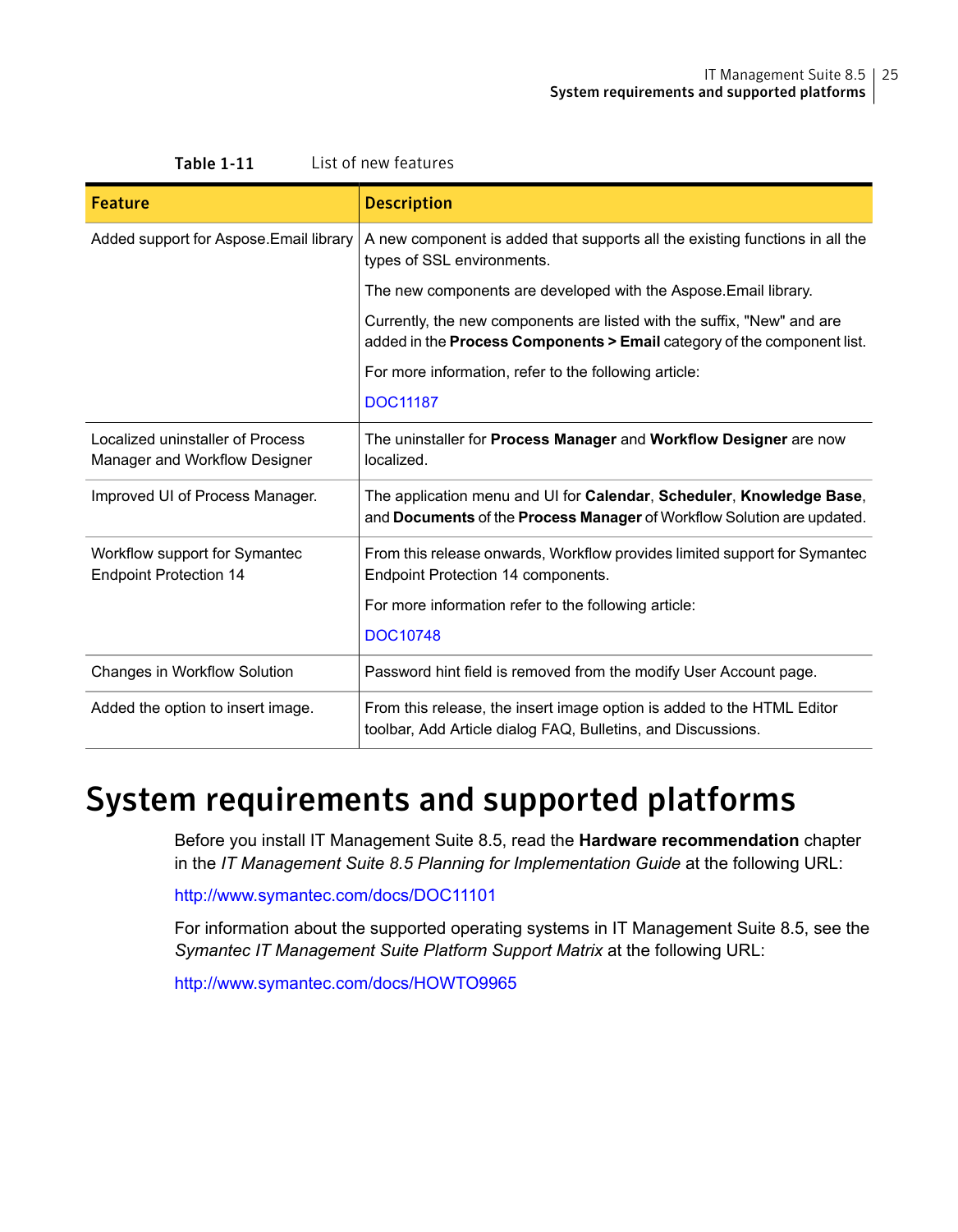| <b>Feature</b>                                                    | <b>Description</b>                                                                                                                                           |
|-------------------------------------------------------------------|--------------------------------------------------------------------------------------------------------------------------------------------------------------|
| Added support for Aspose. Email library                           | A new component is added that supports all the existing functions in all the<br>types of SSL environments.                                                   |
|                                                                   | The new components are developed with the Aspose. Email library.                                                                                             |
|                                                                   | Currently, the new components are listed with the suffix, "New" and are<br>added in the <b>Process Components &gt; Email</b> category of the component list. |
|                                                                   | For more information, refer to the following article:                                                                                                        |
|                                                                   | <b>DOC11187</b>                                                                                                                                              |
| Localized uninstaller of Process<br>Manager and Workflow Designer | The uninstaller for <b>Process Manager</b> and <b>Workflow Designer</b> are now<br>localized.                                                                |
| Improved UI of Process Manager.                                   | The application menu and UI for Calendar, Scheduler, Knowledge Base,<br>and Documents of the Process Manager of Workflow Solution are updated.               |
| Workflow support for Symantec<br><b>Endpoint Protection 14</b>    | From this release onwards, Workflow provides limited support for Symantec<br>Endpoint Protection 14 components.                                              |
|                                                                   | For more information refer to the following article:                                                                                                         |
|                                                                   | <b>DOC10748</b>                                                                                                                                              |
| Changes in Workflow Solution                                      | Password hint field is removed from the modify User Account page.                                                                                            |
| Added the option to insert image.                                 | From this release, the insert image option is added to the HTML Editor<br>toolbar, Add Article dialog FAQ, Bulletins, and Discussions.                       |

# <span id="page-24-0"></span>System requirements and supported platforms

Before you install IT Management Suite 8.5, read the **Hardware recommendation** chapter in the *IT Management Suite 8.5 Planning for Implementation Guide* at the following URL:

<http://www.symantec.com/docs/DOC11101>

For information about the supported operating systems in IT Management Suite 8.5, see the *Symantec IT Management Suite Platform Support Matrix* at the following URL:

<http://www.symantec.com/docs/HOWTO9965>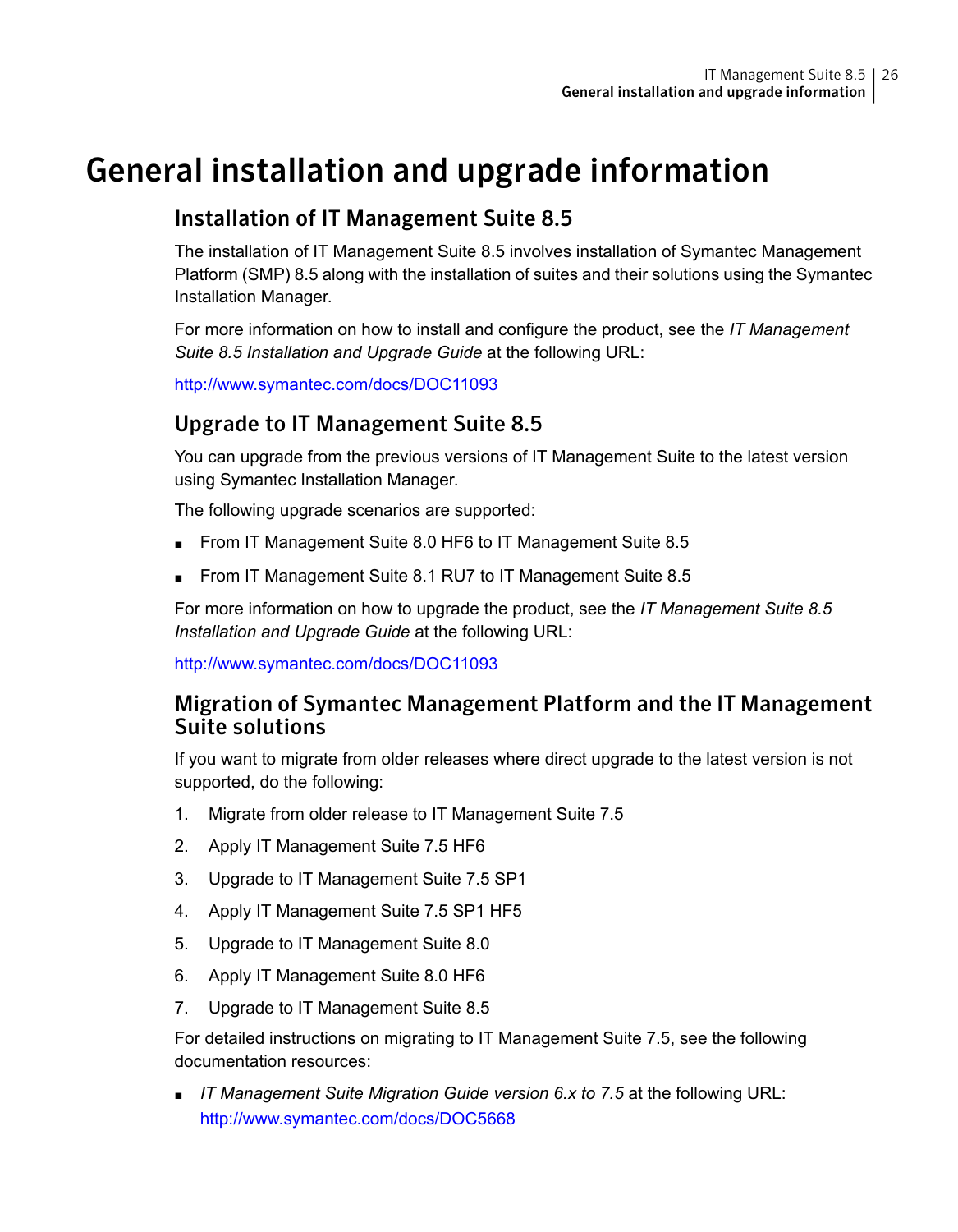# General installation and upgrade information

### <span id="page-25-0"></span>Installation of IT Management Suite 8.5

The installation of IT Management Suite 8.5 involves installation of Symantec Management Platform (SMP) 8.5 along with the installation of suites and their solutions using the Symantec Installation Manager.

For more information on how to install and configure the product, see the *IT Management Suite 8.5 Installation and Upgrade Guide* at the following URL:

<http://www.symantec.com/docs/DOC11093>

### Upgrade to IT Management Suite 8.5

You can upgrade from the previous versions of IT Management Suite to the latest version using Symantec Installation Manager.

The following upgrade scenarios are supported:

- From IT Management Suite 8.0 HF6 to IT Management Suite 8.5
- From IT Management Suite 8.1 RU7 to IT Management Suite 8.5

For more information on how to upgrade the product, see the *IT Management Suite 8.5 Installation and Upgrade Guide* at the following URL:

<http://www.symantec.com/docs/DOC11093>

### Migration of Symantec Management Platform and the IT Management Suite solutions

If you want to migrate from older releases where direct upgrade to the latest version is not supported, do the following:

- 1. Migrate from older release to IT Management Suite 7.5
- 2. Apply IT Management Suite 7.5 HF6
- 3. Upgrade to IT Management Suite 7.5 SP1
- 4. Apply IT Management Suite 7.5 SP1 HF5
- 5. Upgrade to IT Management Suite 8.0
- 6. Apply IT Management Suite 8.0 HF6
- 7. Upgrade to IT Management Suite 8.5

For detailed instructions on migrating to IT Management Suite 7.5, see the following documentation resources:

■ *IT Management Suite Migration Guide version 6.x to 7.5* at the following URL: <http://www.symantec.com/docs/DOC5668>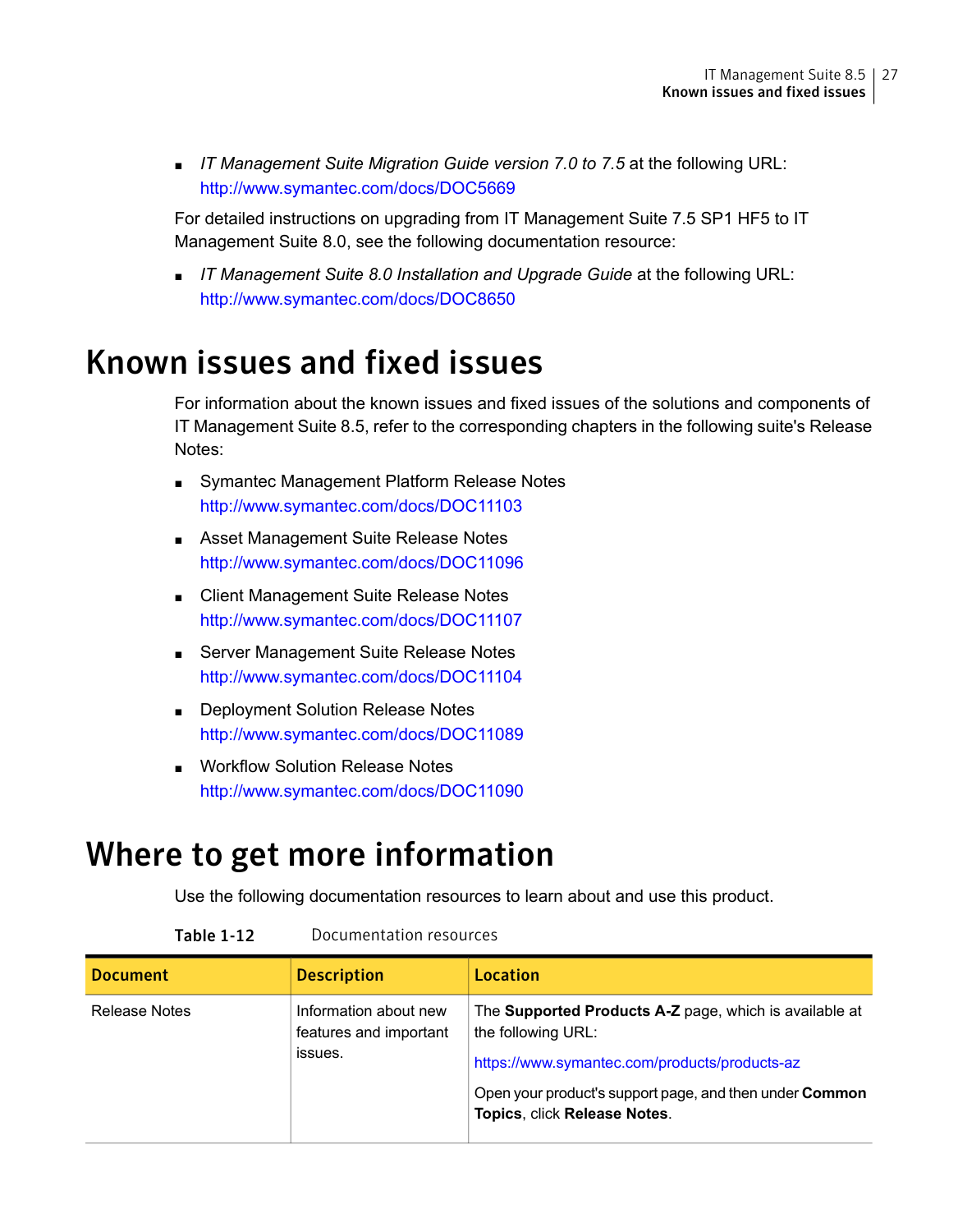■ *IT* Management *Suite Migration Guide version* 7.0 *to* 7.5 at the following URL: <http://www.symantec.com/docs/DOC5669>

For detailed instructions on upgrading from IT Management Suite 7.5 SP1 HF5 to IT Management Suite 8.0, see the following documentation resource:

<span id="page-26-0"></span>■ *IT Management Suite 8.0 Installation and Upgrade Guide* at the following URL: <http://www.symantec.com/docs/DOC8650>

## Known issues and fixed issues

For information about the known issues and fixed issues of the solutions and components of IT Management Suite 8.5, refer to the corresponding chapters in the following suite's Release Notes:

- Symantec Management Platform Release Notes <http://www.symantec.com/docs/DOC11103>
- Asset Management Suite Release Notes <http://www.symantec.com/docs/DOC11096>
- Client Management Suite Release Notes <http://www.symantec.com/docs/DOC11107>
- Server Management Suite Release Notes <http://www.symantec.com/docs/DOC11104>
- <span id="page-26-1"></span>■ Deployment Solution Release Notes <http://www.symantec.com/docs/DOC11089>
- Workflow Solution Release Notes <http://www.symantec.com/docs/DOC11090>

# Where to get more information

Use the following documentation resources to learn about and use this product.

| <b>Document</b> | <b>Description</b>                                         | Location                                                                                                                                                                                                                        |
|-----------------|------------------------------------------------------------|---------------------------------------------------------------------------------------------------------------------------------------------------------------------------------------------------------------------------------|
| Release Notes   | Information about new<br>features and important<br>issues. | The Supported Products A-Z page, which is available at<br>the following URL:<br>https://www.symantec.com/products/products-az<br>Open your product's support page, and then under <b>Common</b><br>Topics, click Release Notes. |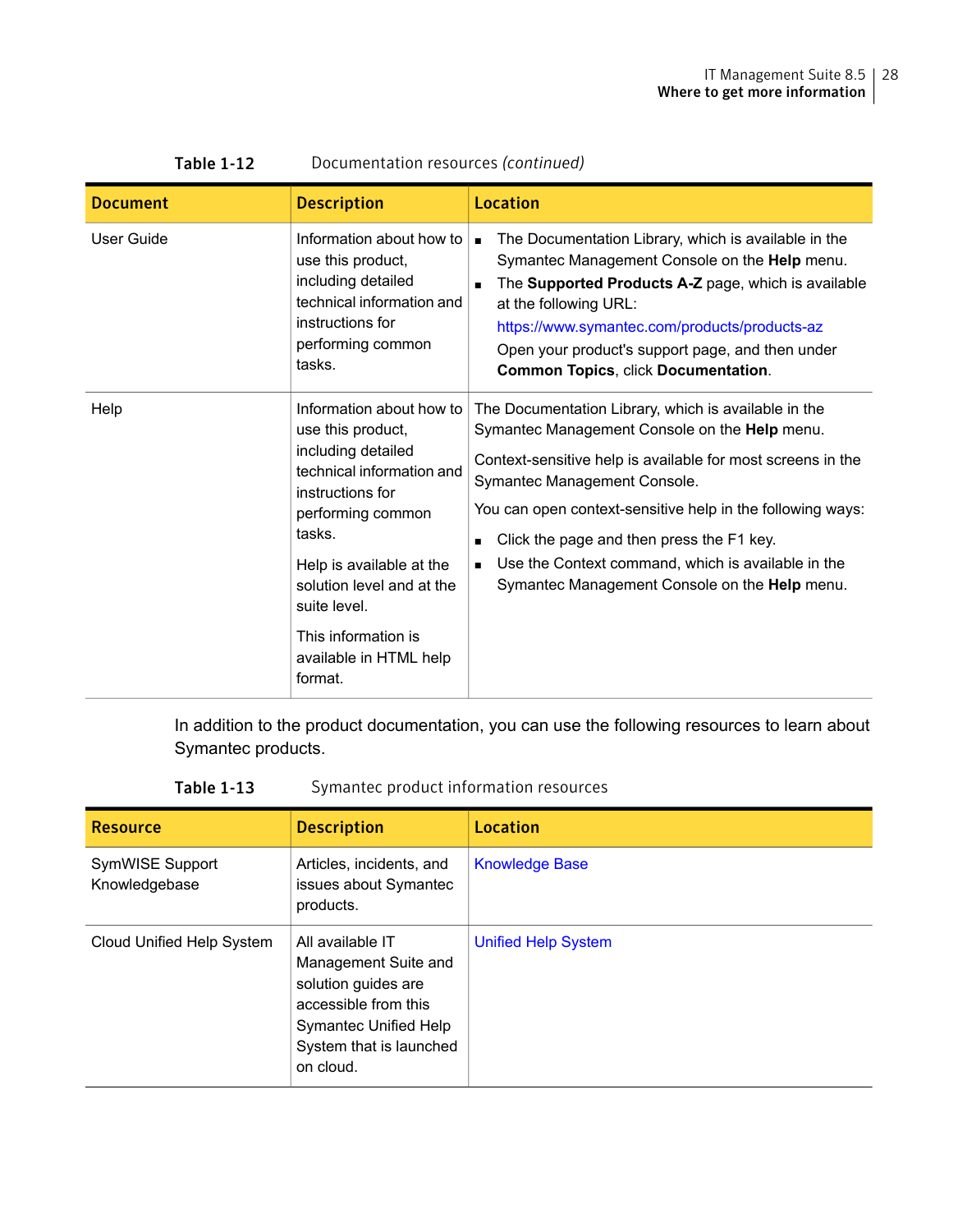| <b>Document</b> | <b>Description</b>                                                                                                                                                                                                                                                                       | Location                                                                                                                                                                                                                                                                                                                                                                                                                                 |
|-----------------|------------------------------------------------------------------------------------------------------------------------------------------------------------------------------------------------------------------------------------------------------------------------------------------|------------------------------------------------------------------------------------------------------------------------------------------------------------------------------------------------------------------------------------------------------------------------------------------------------------------------------------------------------------------------------------------------------------------------------------------|
| User Guide      | Information about how to<br>use this product,<br>including detailed<br>technical information and<br>instructions for<br>performing common<br>tasks.                                                                                                                                      | The Documentation Library, which is available in the<br>Symantec Management Console on the Help menu.<br>The Supported Products A-Z page, which is available<br>at the following URL:<br>https://www.symantec.com/products/products-az<br>Open your product's support page, and then under<br><b>Common Topics, click Documentation.</b>                                                                                                 |
| Help            | Information about how to<br>use this product,<br>including detailed<br>technical information and<br>instructions for<br>performing common<br>tasks.<br>Help is available at the<br>solution level and at the<br>suite level.<br>This information is<br>available in HTML help<br>format. | The Documentation Library, which is available in the<br>Symantec Management Console on the Help menu.<br>Context-sensitive help is available for most screens in the<br>Symantec Management Console.<br>You can open context-sensitive help in the following ways:<br>Click the page and then press the F1 key.<br>$\blacksquare$<br>Use the Context command, which is available in the<br>Symantec Management Console on the Help menu. |

#### Table 1-12 Documentation resources *(continued)*

In addition to the product documentation, you can use the following resources to learn about Symantec products.

#### Table 1-13 Symantec product information resources

| <b>Resource</b>                  | <b>Description</b>                                                                                                                                       | Location                   |
|----------------------------------|----------------------------------------------------------------------------------------------------------------------------------------------------------|----------------------------|
| SymWISE Support<br>Knowledgebase | Articles, incidents, and<br>issues about Symantec<br>products.                                                                                           | <b>Knowledge Base</b>      |
| Cloud Unified Help System        | All available IT<br>Management Suite and<br>solution guides are<br>accessible from this<br>Symantec Unified Help<br>System that is launched<br>on cloud. | <b>Unified Help System</b> |